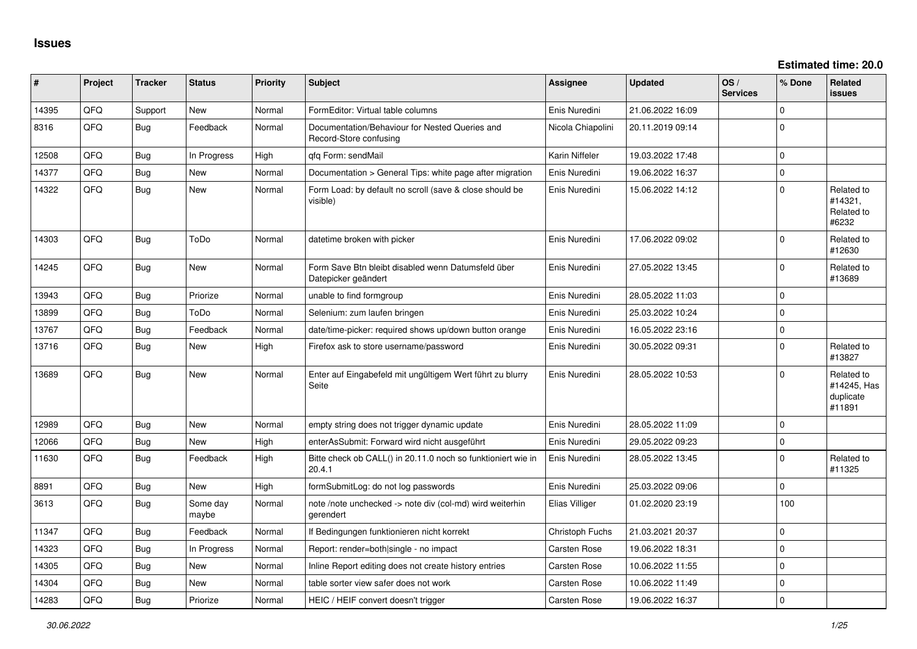| ∦     | Project    | <b>Tracker</b> | <b>Status</b>     | <b>Priority</b> | <b>Subject</b>                                                            | <b>Assignee</b>     | <b>Updated</b>   | OS/<br><b>Services</b> | % Done      | Related<br><b>issues</b>                         |
|-------|------------|----------------|-------------------|-----------------|---------------------------------------------------------------------------|---------------------|------------------|------------------------|-------------|--------------------------------------------------|
| 14395 | QFQ        | Support        | New               | Normal          | FormEditor: Virtual table columns                                         | Enis Nuredini       | 21.06.2022 16:09 |                        | $\Omega$    |                                                  |
| 8316  | QFQ        | Bug            | Feedback          | Normal          | Documentation/Behaviour for Nested Queries and<br>Record-Store confusing  | Nicola Chiapolini   | 20.11.2019 09:14 |                        | $\Omega$    |                                                  |
| 12508 | QFQ        | Bug            | In Progress       | High            | qfq Form: sendMail                                                        | Karin Niffeler      | 19.03.2022 17:48 |                        | $\Omega$    |                                                  |
| 14377 | QFQ        | Bug            | New               | Normal          | Documentation > General Tips: white page after migration                  | Enis Nuredini       | 19.06.2022 16:37 |                        | $\pmb{0}$   |                                                  |
| 14322 | QFQ        | Bug            | <b>New</b>        | Normal          | Form Load: by default no scroll (save & close should be<br>visible)       | Enis Nuredini       | 15.06.2022 14:12 |                        | $\mathbf 0$ | Related to<br>#14321,<br>Related to<br>#6232     |
| 14303 | QFQ        | Bug            | ToDo              | Normal          | datetime broken with picker                                               | Enis Nuredini       | 17.06.2022 09:02 |                        | $\mathbf 0$ | Related to<br>#12630                             |
| 14245 | QFQ        | <b>Bug</b>     | <b>New</b>        | Normal          | Form Save Btn bleibt disabled wenn Datumsfeld über<br>Datepicker geändert | Enis Nuredini       | 27.05.2022 13:45 |                        | $\mathbf 0$ | Related to<br>#13689                             |
| 13943 | QFQ        | Bug            | Priorize          | Normal          | unable to find formgroup                                                  | Enis Nuredini       | 28.05.2022 11:03 |                        | $\mathbf 0$ |                                                  |
| 13899 | <b>OFO</b> | Bug            | ToDo              | Normal          | Selenium: zum laufen bringen                                              | Enis Nuredini       | 25.03.2022 10:24 |                        | $\Omega$    |                                                  |
| 13767 | QFQ        | Bug            | Feedback          | Normal          | date/time-picker: required shows up/down button orange                    | Enis Nuredini       | 16.05.2022 23:16 |                        | $\mathbf 0$ |                                                  |
| 13716 | QFQ        | Bug            | New               | High            | Firefox ask to store username/password                                    | Enis Nuredini       | 30.05.2022 09:31 |                        | $\mathbf 0$ | Related to<br>#13827                             |
| 13689 | QFQ        | <b>Bug</b>     | New               | Normal          | Enter auf Eingabefeld mit ungültigem Wert führt zu blurry<br>Seite        | Enis Nuredini       | 28.05.2022 10:53 |                        | $\mathbf 0$ | Related to<br>#14245, Has<br>duplicate<br>#11891 |
| 12989 | QFQ        | <b>Bug</b>     | <b>New</b>        | Normal          | empty string does not trigger dynamic update                              | Enis Nuredini       | 28.05.2022 11:09 |                        | $\Omega$    |                                                  |
| 12066 | QFQ        | Bug            | New               | High            | enterAsSubmit: Forward wird nicht ausgeführt                              | Enis Nuredini       | 29.05.2022 09:23 |                        | $\mathbf 0$ |                                                  |
| 11630 | QFQ        | Bug            | Feedback          | High            | Bitte check ob CALL() in 20.11.0 noch so funktioniert wie in<br>20.4.1    | Enis Nuredini       | 28.05.2022 13:45 |                        | $\Omega$    | Related to<br>#11325                             |
| 8891  | QFQ        | Bug            | <b>New</b>        | High            | formSubmitLog: do not log passwords                                       | Enis Nuredini       | 25.03.2022 09:06 |                        | $\Omega$    |                                                  |
| 3613  | QFQ        | Bug            | Some day<br>maybe | Normal          | note /note unchecked -> note div (col-md) wird weiterhin<br>gerendert     | Elias Villiger      | 01.02.2020 23:19 |                        | 100         |                                                  |
| 11347 | QFQ        | <b>Bug</b>     | Feedback          | Normal          | If Bedingungen funktionieren nicht korrekt                                | Christoph Fuchs     | 21.03.2021 20:37 |                        | $\mathbf 0$ |                                                  |
| 14323 | QFQ        | Bug            | In Progress       | Normal          | Report: render=both single - no impact                                    | Carsten Rose        | 19.06.2022 18:31 |                        | $\mathbf 0$ |                                                  |
| 14305 | QFQ        | <b>Bug</b>     | New               | Normal          | Inline Report editing does not create history entries                     | Carsten Rose        | 10.06.2022 11:55 |                        | $\mathbf 0$ |                                                  |
| 14304 | QFQ        | Bug            | New               | Normal          | table sorter view safer does not work                                     | <b>Carsten Rose</b> | 10.06.2022 11:49 |                        | $\mathbf 0$ |                                                  |
| 14283 | QFQ        | Bug            | Priorize          | Normal          | HEIC / HEIF convert doesn't trigger                                       | Carsten Rose        | 19.06.2022 16:37 |                        | $\Omega$    |                                                  |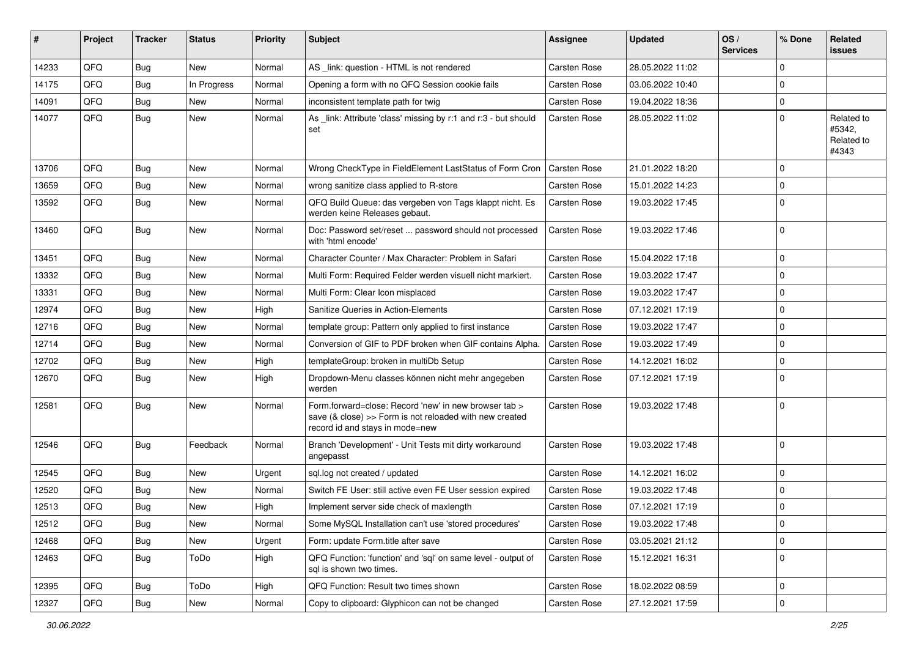| ∥ #   | Project | <b>Tracker</b> | <b>Status</b> | <b>Priority</b> | <b>Subject</b>                                                                                                                                      | <b>Assignee</b>     | <b>Updated</b>   | OS/<br><b>Services</b> | % Done      | Related<br><b>issues</b>                    |
|-------|---------|----------------|---------------|-----------------|-----------------------------------------------------------------------------------------------------------------------------------------------------|---------------------|------------------|------------------------|-------------|---------------------------------------------|
| 14233 | QFQ     | Bug            | New           | Normal          | AS _link: question - HTML is not rendered                                                                                                           | <b>Carsten Rose</b> | 28.05.2022 11:02 |                        | $\mathbf 0$ |                                             |
| 14175 | QFQ     | Bug            | In Progress   | Normal          | Opening a form with no QFQ Session cookie fails                                                                                                     | Carsten Rose        | 03.06.2022 10:40 |                        | $\mathbf 0$ |                                             |
| 14091 | QFQ     | <b>Bug</b>     | New           | Normal          | inconsistent template path for twig                                                                                                                 | Carsten Rose        | 19.04.2022 18:36 |                        | $\mathbf 0$ |                                             |
| 14077 | QFQ     | Bug            | New           | Normal          | As _link: Attribute 'class' missing by r:1 and r:3 - but should<br>set                                                                              | Carsten Rose        | 28.05.2022 11:02 |                        | $\mathbf 0$ | Related to<br>#5342.<br>Related to<br>#4343 |
| 13706 | QFQ     | Bug            | New           | Normal          | Wrong CheckType in FieldElement LastStatus of Form Cron                                                                                             | <b>Carsten Rose</b> | 21.01.2022 18:20 |                        | $\mathbf 0$ |                                             |
| 13659 | QFQ     | <b>Bug</b>     | <b>New</b>    | Normal          | wrong sanitize class applied to R-store                                                                                                             | Carsten Rose        | 15.01.2022 14:23 |                        | $\mathbf 0$ |                                             |
| 13592 | QFQ     | Bug            | New           | Normal          | QFQ Build Queue: das vergeben von Tags klappt nicht. Es<br>werden keine Releases gebaut.                                                            | Carsten Rose        | 19.03.2022 17:45 |                        | 0           |                                             |
| 13460 | QFQ     | Bug            | New           | Normal          | Doc: Password set/reset  password should not processed<br>with 'html encode'                                                                        | Carsten Rose        | 19.03.2022 17:46 |                        | $\mathbf 0$ |                                             |
| 13451 | QFQ     | Bug            | New           | Normal          | Character Counter / Max Character: Problem in Safari                                                                                                | Carsten Rose        | 15.04.2022 17:18 |                        | $\mathbf 0$ |                                             |
| 13332 | QFQ     | <b>Bug</b>     | <b>New</b>    | Normal          | Multi Form: Required Felder werden visuell nicht markiert.                                                                                          | Carsten Rose        | 19.03.2022 17:47 |                        | $\mathbf 0$ |                                             |
| 13331 | QFQ     | Bug            | New           | Normal          | Multi Form: Clear Icon misplaced                                                                                                                    | Carsten Rose        | 19.03.2022 17:47 |                        | $\mathbf 0$ |                                             |
| 12974 | QFQ     | Bug            | <b>New</b>    | High            | Sanitize Queries in Action-Elements                                                                                                                 | Carsten Rose        | 07.12.2021 17:19 |                        | $\mathbf 0$ |                                             |
| 12716 | QFQ     | Bug            | New           | Normal          | template group: Pattern only applied to first instance                                                                                              | Carsten Rose        | 19.03.2022 17:47 |                        | $\mathbf 0$ |                                             |
| 12714 | QFQ     | Bug            | <b>New</b>    | Normal          | Conversion of GIF to PDF broken when GIF contains Alpha.                                                                                            | Carsten Rose        | 19.03.2022 17:49 |                        | $\mathbf 0$ |                                             |
| 12702 | QFQ     | Bug            | New           | High            | templateGroup: broken in multiDb Setup                                                                                                              | Carsten Rose        | 14.12.2021 16:02 |                        | $\mathbf 0$ |                                             |
| 12670 | QFQ.    | Bug            | New           | High            | Dropdown-Menu classes können nicht mehr angegeben<br>werden                                                                                         | Carsten Rose        | 07.12.2021 17:19 |                        | $\mathbf 0$ |                                             |
| 12581 | QFQ     | <b>Bug</b>     | <b>New</b>    | Normal          | Form.forward=close: Record 'new' in new browser tab ><br>save (& close) >> Form is not reloaded with new created<br>record id and stays in mode=new | Carsten Rose        | 19.03.2022 17:48 |                        | $\mathbf 0$ |                                             |
| 12546 | QFQ     | <b>Bug</b>     | Feedback      | Normal          | Branch 'Development' - Unit Tests mit dirty workaround<br>angepasst                                                                                 | Carsten Rose        | 19.03.2022 17:48 |                        | $\mathbf 0$ |                                             |
| 12545 | QFQ     | Bug            | <b>New</b>    | Urgent          | sql.log not created / updated                                                                                                                       | Carsten Rose        | 14.12.2021 16:02 |                        | $\mathbf 0$ |                                             |
| 12520 | QFQ     | <b>Bug</b>     | New           | Normal          | Switch FE User: still active even FE User session expired                                                                                           | Carsten Rose        | 19.03.2022 17:48 |                        | 0           |                                             |
| 12513 | QFQ     | Bug            | New           | High            | Implement server side check of maxlength                                                                                                            | Carsten Rose        | 07.12.2021 17:19 |                        | $\mathbf 0$ |                                             |
| 12512 | QFQ     | Bug            | New           | Normal          | Some MySQL Installation can't use 'stored procedures'                                                                                               | Carsten Rose        | 19.03.2022 17:48 |                        | 0           |                                             |
| 12468 | QFQ     | <b>Bug</b>     | New           | Urgent          | Form: update Form.title after save                                                                                                                  | Carsten Rose        | 03.05.2021 21:12 |                        | 0           |                                             |
| 12463 | QFQ     | <b>Bug</b>     | ToDo          | High            | QFQ Function: 'function' and 'sql' on same level - output of<br>sql is shown two times.                                                             | Carsten Rose        | 15.12.2021 16:31 |                        | $\mathbf 0$ |                                             |
| 12395 | QFQ     | <b>Bug</b>     | ToDo          | High            | QFQ Function: Result two times shown                                                                                                                | Carsten Rose        | 18.02.2022 08:59 |                        | 0           |                                             |
| 12327 | QFQ     | Bug            | New           | Normal          | Copy to clipboard: Glyphicon can not be changed                                                                                                     | Carsten Rose        | 27.12.2021 17:59 |                        | $\mathsf 0$ |                                             |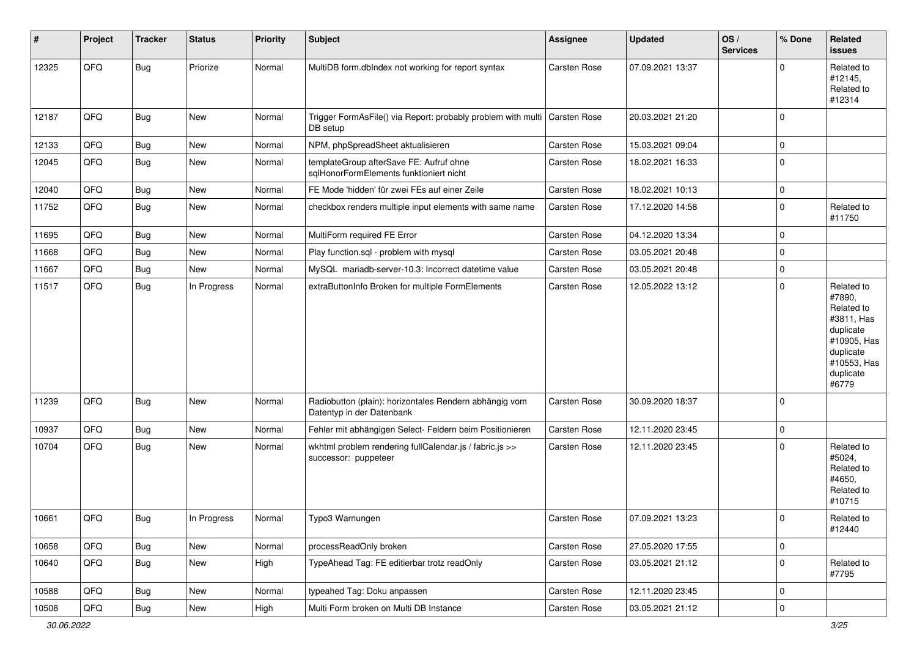| ∦     | Project | <b>Tracker</b> | <b>Status</b> | <b>Priority</b> | <b>Subject</b>                                                                      | <b>Assignee</b>     | <b>Updated</b>   | OS/<br><b>Services</b> | % Done      | Related<br>issues                                                                                                              |
|-------|---------|----------------|---------------|-----------------|-------------------------------------------------------------------------------------|---------------------|------------------|------------------------|-------------|--------------------------------------------------------------------------------------------------------------------------------|
| 12325 | QFQ     | <b>Bug</b>     | Priorize      | Normal          | MultiDB form.dblndex not working for report syntax                                  | Carsten Rose        | 07.09.2021 13:37 |                        | $\Omega$    | Related to<br>#12145,<br>Related to<br>#12314                                                                                  |
| 12187 | QFQ     | <b>Bug</b>     | New           | Normal          | Trigger FormAsFile() via Report: probably problem with multi<br>DB setup            | <b>Carsten Rose</b> | 20.03.2021 21:20 |                        | $\Omega$    |                                                                                                                                |
| 12133 | QFQ     | <b>Bug</b>     | New           | Normal          | NPM, phpSpreadSheet aktualisieren                                                   | <b>Carsten Rose</b> | 15.03.2021 09:04 |                        | $\mathbf 0$ |                                                                                                                                |
| 12045 | QFQ     | <b>Bug</b>     | New           | Normal          | templateGroup afterSave FE: Aufruf ohne<br>sqlHonorFormElements funktioniert nicht  | Carsten Rose        | 18.02.2021 16:33 |                        | $\mathbf 0$ |                                                                                                                                |
| 12040 | QFQ     | Bug            | New           | Normal          | FE Mode 'hidden' für zwei FEs auf einer Zeile                                       | Carsten Rose        | 18.02.2021 10:13 |                        | $\mathbf 0$ |                                                                                                                                |
| 11752 | QFQ     | Bug            | New           | Normal          | checkbox renders multiple input elements with same name                             | <b>Carsten Rose</b> | 17.12.2020 14:58 |                        | $\mathbf 0$ | Related to<br>#11750                                                                                                           |
| 11695 | QFQ     | <b>Bug</b>     | New           | Normal          | MultiForm required FE Error                                                         | <b>Carsten Rose</b> | 04.12.2020 13:34 |                        | 0           |                                                                                                                                |
| 11668 | QFQ     | <b>Bug</b>     | New           | Normal          | Play function.sql - problem with mysql                                              | Carsten Rose        | 03.05.2021 20:48 |                        | $\mathbf 0$ |                                                                                                                                |
| 11667 | QFQ     | <b>Bug</b>     | New           | Normal          | MySQL mariadb-server-10.3: Incorrect datetime value                                 | <b>Carsten Rose</b> | 03.05.2021 20:48 |                        | $\mathbf 0$ |                                                                                                                                |
| 11517 | QFQ     | <b>Bug</b>     | In Progress   | Normal          | extraButtonInfo Broken for multiple FormElements                                    | Carsten Rose        | 12.05.2022 13:12 |                        | $\mathbf 0$ | Related to<br>#7890,<br>Related to<br>#3811, Has<br>duplicate<br>#10905, Has<br>duplicate<br>#10553, Has<br>duplicate<br>#6779 |
| 11239 | QFQ     | <b>Bug</b>     | New           | Normal          | Radiobutton (plain): horizontales Rendern abhängig vom<br>Datentyp in der Datenbank | <b>Carsten Rose</b> | 30.09.2020 18:37 |                        | $\Omega$    |                                                                                                                                |
| 10937 | QFQ     | Bug            | New           | Normal          | Fehler mit abhängigen Select- Feldern beim Positionieren                            | Carsten Rose        | 12.11.2020 23:45 |                        | $\mathbf 0$ |                                                                                                                                |
| 10704 | QFQ     | <b>Bug</b>     | New           | Normal          | wkhtml problem rendering fullCalendar.js / fabric.js >><br>successor: puppeteer     | Carsten Rose        | 12.11.2020 23:45 |                        | $\Omega$    | Related to<br>#5024,<br>Related to<br>#4650.<br>Related to<br>#10715                                                           |
| 10661 | QFQ     | Bug            | In Progress   | Normal          | Typo3 Warnungen                                                                     | Carsten Rose        | 07.09.2021 13:23 |                        | 0           | Related to<br>#12440                                                                                                           |
| 10658 | QFQ     | Bug            | New           | Normal          | processReadOnly broken                                                              | Carsten Rose        | 27.05.2020 17:55 |                        | $\mathsf 0$ |                                                                                                                                |
| 10640 | QFQ     | Bug            | New           | High            | TypeAhead Tag: FE editierbar trotz readOnly                                         | Carsten Rose        | 03.05.2021 21:12 |                        | $\pmb{0}$   | Related to<br>#7795                                                                                                            |
| 10588 | QFQ     | Bug            | New           | Normal          | typeahed Tag: Doku anpassen                                                         | Carsten Rose        | 12.11.2020 23:45 |                        | 0           |                                                                                                                                |
| 10508 | QFQ     | <b>Bug</b>     | New           | High            | Multi Form broken on Multi DB Instance                                              | Carsten Rose        | 03.05.2021 21:12 |                        | $\pmb{0}$   |                                                                                                                                |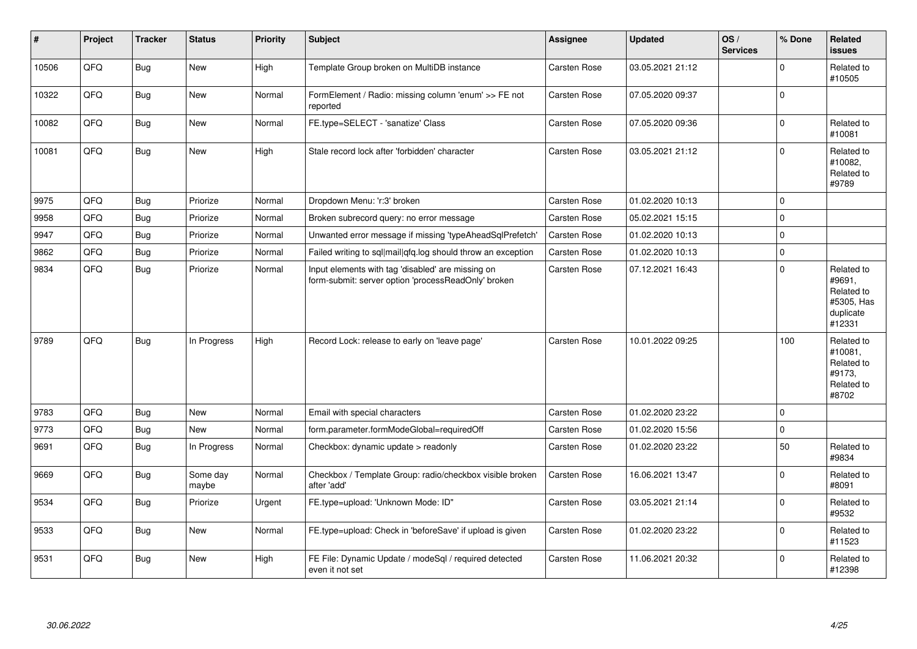| #     | Project | <b>Tracker</b> | <b>Status</b>     | <b>Priority</b> | <b>Subject</b>                                                                                           | Assignee            | <b>Updated</b>   | OS/<br><b>Services</b> | % Done      | Related<br><b>issues</b>                                                |
|-------|---------|----------------|-------------------|-----------------|----------------------------------------------------------------------------------------------------------|---------------------|------------------|------------------------|-------------|-------------------------------------------------------------------------|
| 10506 | QFQ     | <b>Bug</b>     | <b>New</b>        | High            | Template Group broken on MultiDB instance                                                                | Carsten Rose        | 03.05.2021 21:12 |                        | 0           | Related to<br>#10505                                                    |
| 10322 | QFQ     | Bug            | New               | Normal          | FormElement / Radio: missing column 'enum' >> FE not<br>reported                                         | Carsten Rose        | 07.05.2020 09:37 |                        | $\Omega$    |                                                                         |
| 10082 | QFQ     | <b>Bug</b>     | <b>New</b>        | Normal          | FE.type=SELECT - 'sanatize' Class                                                                        | Carsten Rose        | 07.05.2020 09:36 |                        | 0           | Related to<br>#10081                                                    |
| 10081 | QFQ     | <b>Bug</b>     | New               | High            | Stale record lock after 'forbidden' character                                                            | Carsten Rose        | 03.05.2021 21:12 |                        | 0           | Related to<br>#10082,<br>Related to<br>#9789                            |
| 9975  | QFQ     | <b>Bug</b>     | Priorize          | Normal          | Dropdown Menu: 'r:3' broken                                                                              | Carsten Rose        | 01.02.2020 10:13 |                        | $\Omega$    |                                                                         |
| 9958  | QFQ     | <b>Bug</b>     | Priorize          | Normal          | Broken subrecord query: no error message                                                                 | <b>Carsten Rose</b> | 05.02.2021 15:15 |                        | $\mathbf 0$ |                                                                         |
| 9947  | QFQ     | <b>Bug</b>     | Priorize          | Normal          | Unwanted error message if missing 'typeAheadSqlPrefetch                                                  | <b>Carsten Rose</b> | 01.02.2020 10:13 |                        | $\Omega$    |                                                                         |
| 9862  | QFQ     | <b>Bug</b>     | Priorize          | Normal          | Failed writing to sql mail qfq.log should throw an exception                                             | Carsten Rose        | 01.02.2020 10:13 |                        | 0           |                                                                         |
| 9834  | QFQ     | <b>Bug</b>     | Priorize          | Normal          | Input elements with tag 'disabled' are missing on<br>form-submit: server option 'processReadOnly' broken | Carsten Rose        | 07.12.2021 16:43 |                        | 0           | Related to<br>#9691,<br>Related to<br>#5305, Has<br>duplicate<br>#12331 |
| 9789  | QFQ     | <b>Bug</b>     | In Progress       | High            | Record Lock: release to early on 'leave page'                                                            | <b>Carsten Rose</b> | 10.01.2022 09:25 |                        | 100         | Related to<br>#10081,<br>Related to<br>#9173,<br>Related to<br>#8702    |
| 9783  | QFQ     | <b>Bug</b>     | <b>New</b>        | Normal          | Email with special characters                                                                            | Carsten Rose        | 01.02.2020 23:22 |                        | $\Omega$    |                                                                         |
| 9773  | QFQ     | <b>Bug</b>     | New               | Normal          | form.parameter.formModeGlobal=requiredOff                                                                | Carsten Rose        | 01.02.2020 15:56 |                        | 0           |                                                                         |
| 9691  | QFQ     | Bug            | In Progress       | Normal          | Checkbox: dynamic update > readonly                                                                      | Carsten Rose        | 01.02.2020 23:22 |                        | 50          | Related to<br>#9834                                                     |
| 9669  | QFQ     | <b>Bug</b>     | Some day<br>maybe | Normal          | Checkbox / Template Group: radio/checkbox visible broken<br>after 'add'                                  | Carsten Rose        | 16.06.2021 13:47 |                        | 0           | Related to<br>#8091                                                     |
| 9534  | QFQ     | <b>Bug</b>     | Priorize          | Urgent          | FE.type=upload: 'Unknown Mode: ID"                                                                       | Carsten Rose        | 03.05.2021 21:14 |                        | 0           | Related to<br>#9532                                                     |
| 9533  | QFQ     | <b>Bug</b>     | New               | Normal          | FE.type=upload: Check in 'beforeSave' if upload is given                                                 | Carsten Rose        | 01.02.2020 23:22 |                        | 0           | Related to<br>#11523                                                    |
| 9531  | QFQ     | <b>Bug</b>     | <b>New</b>        | High            | FE File: Dynamic Update / modeSql / required detected<br>even it not set                                 | Carsten Rose        | 11.06.2021 20:32 |                        | $\Omega$    | Related to<br>#12398                                                    |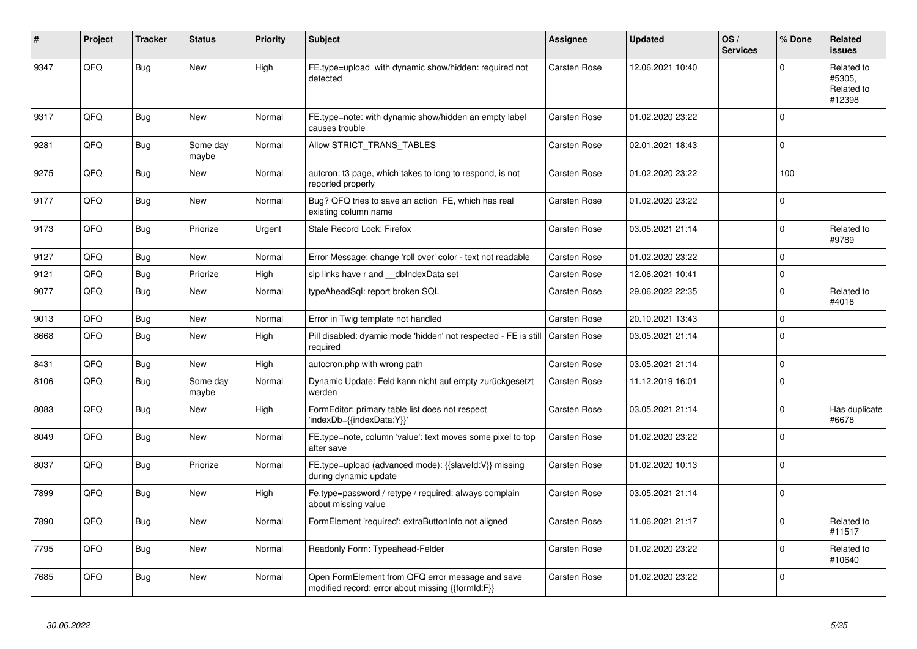| #    | Project | <b>Tracker</b> | <b>Status</b>     | <b>Priority</b> | <b>Subject</b>                                                                                        | <b>Assignee</b>     | <b>Updated</b>   | OS/<br><b>Services</b> | % Done         | Related<br><b>issues</b>                     |
|------|---------|----------------|-------------------|-----------------|-------------------------------------------------------------------------------------------------------|---------------------|------------------|------------------------|----------------|----------------------------------------------|
| 9347 | QFQ     | Bug            | <b>New</b>        | High            | FE.type=upload with dynamic show/hidden: required not<br>detected                                     | Carsten Rose        | 12.06.2021 10:40 |                        | $\Omega$       | Related to<br>#5305,<br>Related to<br>#12398 |
| 9317 | QFQ     | <b>Bug</b>     | <b>New</b>        | Normal          | FE.type=note: with dynamic show/hidden an empty label<br>causes trouble                               | Carsten Rose        | 01.02.2020 23:22 |                        | 0              |                                              |
| 9281 | QFQ     | <b>Bug</b>     | Some day<br>maybe | Normal          | Allow STRICT_TRANS_TABLES                                                                             | Carsten Rose        | 02.01.2021 18:43 |                        | 0              |                                              |
| 9275 | QFQ     | Bug            | <b>New</b>        | Normal          | autcron: t3 page, which takes to long to respond, is not<br>reported properly                         | Carsten Rose        | 01.02.2020 23:22 |                        | 100            |                                              |
| 9177 | QFQ     | <b>Bug</b>     | <b>New</b>        | Normal          | Bug? QFQ tries to save an action FE, which has real<br>existing column name                           | Carsten Rose        | 01.02.2020 23:22 |                        | 0              |                                              |
| 9173 | QFQ     | <b>Bug</b>     | Priorize          | Urgent          | Stale Record Lock: Firefox                                                                            | Carsten Rose        | 03.05.2021 21:14 |                        | $\Omega$       | Related to<br>#9789                          |
| 9127 | QFQ     | <b>Bug</b>     | <b>New</b>        | Normal          | Error Message: change 'roll over' color - text not readable                                           | Carsten Rose        | 01.02.2020 23:22 |                        | $\Omega$       |                                              |
| 9121 | QFQ     | <b>Bug</b>     | Priorize          | High            | sip links have r and dblndexData set                                                                  | Carsten Rose        | 12.06.2021 10:41 |                        | $\overline{0}$ |                                              |
| 9077 | QFQ     | <b>Bug</b>     | New               | Normal          | typeAheadSql: report broken SQL                                                                       | Carsten Rose        | 29.06.2022 22:35 |                        | 0              | Related to<br>#4018                          |
| 9013 | QFQ     | <b>Bug</b>     | New               | Normal          | Error in Twig template not handled                                                                    | Carsten Rose        | 20.10.2021 13:43 |                        | 0              |                                              |
| 8668 | QFQ     | <b>Bug</b>     | <b>New</b>        | High            | Pill disabled: dyamic mode 'hidden' not respected - FE is still<br>required                           | Carsten Rose        | 03.05.2021 21:14 |                        | $\Omega$       |                                              |
| 8431 | QFQ     | <b>Bug</b>     | <b>New</b>        | High            | autocron.php with wrong path                                                                          | Carsten Rose        | 03.05.2021 21:14 |                        | 0              |                                              |
| 8106 | QFQ     | <b>Bug</b>     | Some day<br>maybe | Normal          | Dynamic Update: Feld kann nicht auf empty zurückgesetzt<br>werden                                     | <b>Carsten Rose</b> | 11.12.2019 16:01 |                        | $\Omega$       |                                              |
| 8083 | QFQ     | Bug            | New               | High            | FormEditor: primary table list does not respect<br>'indexDb={{indexData:Y}}'                          | Carsten Rose        | 03.05.2021 21:14 |                        | 0              | Has duplicate<br>#6678                       |
| 8049 | QFQ     | <b>Bug</b>     | New               | Normal          | FE.type=note, column 'value': text moves some pixel to top<br>after save                              | Carsten Rose        | 01.02.2020 23:22 |                        | $\Omega$       |                                              |
| 8037 | QFQ     | <b>Bug</b>     | Priorize          | Normal          | FE.type=upload (advanced mode): {{slaveId:V}} missing<br>during dynamic update                        | Carsten Rose        | 01.02.2020 10:13 |                        | $\Omega$       |                                              |
| 7899 | QFQ     | <b>Bug</b>     | New               | High            | Fe.type=password / retype / required: always complain<br>about missing value                          | Carsten Rose        | 03.05.2021 21:14 |                        | 0              |                                              |
| 7890 | QFQ     | <b>Bug</b>     | <b>New</b>        | Normal          | FormElement 'required': extraButtonInfo not aligned                                                   | Carsten Rose        | 11.06.2021 21:17 |                        | $\Omega$       | Related to<br>#11517                         |
| 7795 | QFQ     | <b>Bug</b>     | <b>New</b>        | Normal          | Readonly Form: Typeahead-Felder                                                                       | Carsten Rose        | 01.02.2020 23:22 |                        | 0              | Related to<br>#10640                         |
| 7685 | QFQ     | Bug            | New               | Normal          | Open FormElement from QFQ error message and save<br>modified record: error about missing {{formId:F}} | Carsten Rose        | 01.02.2020 23:22 |                        | $\Omega$       |                                              |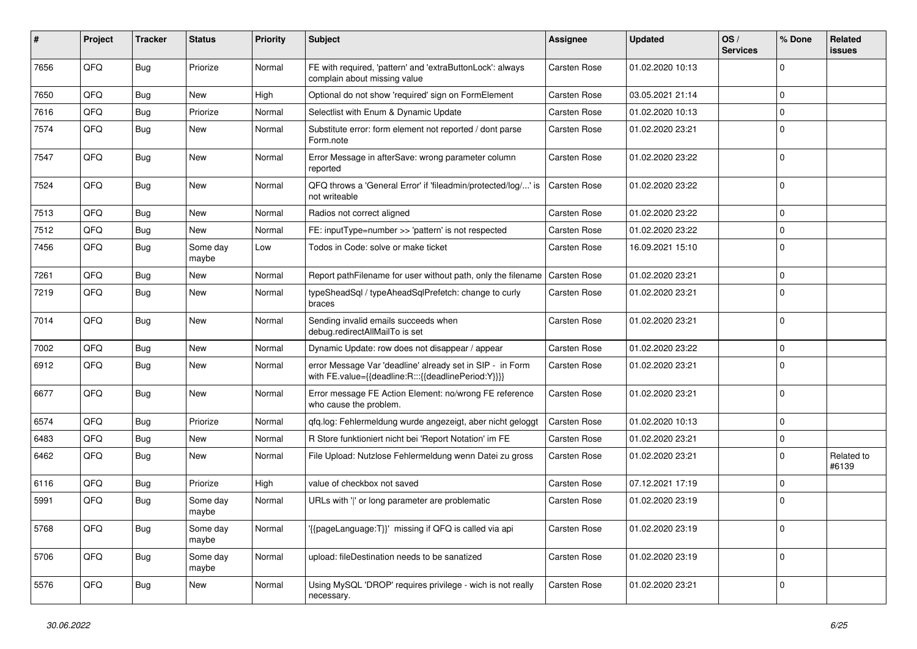| #    | Project | <b>Tracker</b> | <b>Status</b>     | <b>Priority</b> | Subject                                                                                                          | <b>Assignee</b>     | <b>Updated</b>   | OS/<br><b>Services</b> | % Done      | Related<br><b>issues</b> |
|------|---------|----------------|-------------------|-----------------|------------------------------------------------------------------------------------------------------------------|---------------------|------------------|------------------------|-------------|--------------------------|
| 7656 | QFQ     | Bug            | Priorize          | Normal          | FE with required, 'pattern' and 'extraButtonLock': always<br>complain about missing value                        | Carsten Rose        | 01.02.2020 10:13 |                        | $\mathbf 0$ |                          |
| 7650 | QFQ     | <b>Bug</b>     | New               | High            | Optional do not show 'required' sign on FormElement                                                              | Carsten Rose        | 03.05.2021 21:14 |                        | $\mathbf 0$ |                          |
| 7616 | QFQ     | Bug            | Priorize          | Normal          | Selectlist with Enum & Dynamic Update                                                                            | Carsten Rose        | 01.02.2020 10:13 |                        | $\mathbf 0$ |                          |
| 7574 | QFQ     | <b>Bug</b>     | New               | Normal          | Substitute error: form element not reported / dont parse<br>Form.note                                            | Carsten Rose        | 01.02.2020 23:21 |                        | $\mathbf 0$ |                          |
| 7547 | QFQ     | <b>Bug</b>     | New               | Normal          | Error Message in afterSave: wrong parameter column<br>reported                                                   | Carsten Rose        | 01.02.2020 23:22 |                        | $\mathbf 0$ |                          |
| 7524 | QFQ     | Bug            | New               | Normal          | QFQ throws a 'General Error' if 'fileadmin/protected/log/' is<br>not writeable                                   | Carsten Rose        | 01.02.2020 23:22 |                        | $\pmb{0}$   |                          |
| 7513 | QFQ     | <b>Bug</b>     | New               | Normal          | Radios not correct aligned                                                                                       | Carsten Rose        | 01.02.2020 23:22 |                        | $\mathbf 0$ |                          |
| 7512 | QFQ     | <b>Bug</b>     | New               | Normal          | FE: inputType=number >> 'pattern' is not respected                                                               | Carsten Rose        | 01.02.2020 23:22 |                        | $\mathbf 0$ |                          |
| 7456 | QFQ     | <b>Bug</b>     | Some day<br>maybe | Low             | Todos in Code: solve or make ticket                                                                              | <b>Carsten Rose</b> | 16.09.2021 15:10 |                        | $\mathbf 0$ |                          |
| 7261 | QFQ     | <b>Bug</b>     | <b>New</b>        | Normal          | Report pathFilename for user without path, only the filename                                                     | <b>Carsten Rose</b> | 01.02.2020 23:21 |                        | $\mathbf 0$ |                          |
| 7219 | QFQ     | <b>Bug</b>     | New               | Normal          | typeSheadSql / typeAheadSqlPrefetch: change to curly<br>braces                                                   | <b>Carsten Rose</b> | 01.02.2020 23:21 |                        | $\mathbf 0$ |                          |
| 7014 | QFQ     | Bug            | New               | Normal          | Sending invalid emails succeeds when<br>debug.redirectAllMailTo is set                                           | Carsten Rose        | 01.02.2020 23:21 |                        | $\mathbf 0$ |                          |
| 7002 | QFQ     | <b>Bug</b>     | <b>New</b>        | Normal          | Dynamic Update: row does not disappear / appear                                                                  | Carsten Rose        | 01.02.2020 23:22 |                        | $\mathbf 0$ |                          |
| 6912 | QFQ     | Bug            | New               | Normal          | error Message Var 'deadline' already set in SIP - in Form<br>with FE.value={{deadline:R:::{{deadlinePeriod:Y}}}} | <b>Carsten Rose</b> | 01.02.2020 23:21 |                        | $\mathbf 0$ |                          |
| 6677 | QFQ     | Bug            | <b>New</b>        | Normal          | Error message FE Action Element: no/wrong FE reference<br>who cause the problem.                                 | Carsten Rose        | 01.02.2020 23:21 |                        | $\mathbf 0$ |                          |
| 6574 | QFQ     | <b>Bug</b>     | Priorize          | Normal          | qfq.log: Fehlermeldung wurde angezeigt, aber nicht geloggt                                                       | Carsten Rose        | 01.02.2020 10:13 |                        | $\mathbf 0$ |                          |
| 6483 | QFQ     | <b>Bug</b>     | New               | Normal          | R Store funktioniert nicht bei 'Report Notation' im FE                                                           | Carsten Rose        | 01.02.2020 23:21 |                        | $\mathbf 0$ |                          |
| 6462 | QFQ     | Bug            | New               | Normal          | File Upload: Nutzlose Fehlermeldung wenn Datei zu gross                                                          | Carsten Rose        | 01.02.2020 23:21 |                        | $\mathbf 0$ | Related to<br>#6139      |
| 6116 | QFQ     | <b>Bug</b>     | Priorize          | High            | value of checkbox not saved                                                                                      | Carsten Rose        | 07.12.2021 17:19 |                        | $\mathbf 0$ |                          |
| 5991 | QFQ     | <b>Bug</b>     | Some day<br>maybe | Normal          | URLs with ' ' or long parameter are problematic                                                                  | Carsten Rose        | 01.02.2020 23:19 |                        | $\mathbf 0$ |                          |
| 5768 | QFQ     | <b>Bug</b>     | Some day<br>maybe | Normal          | '{{pageLanguage:T}}' missing if QFQ is called via api                                                            | Carsten Rose        | 01.02.2020 23:19 |                        | $\pmb{0}$   |                          |
| 5706 | QFQ     | Bug            | Some day<br>maybe | Normal          | upload: fileDestination needs to be sanatized                                                                    | Carsten Rose        | 01.02.2020 23:19 |                        | $\mathbf 0$ |                          |
| 5576 | QFQ     | <b>Bug</b>     | New               | Normal          | Using MySQL 'DROP' requires privilege - wich is not really<br>necessary.                                         | Carsten Rose        | 01.02.2020 23:21 |                        | $\pmb{0}$   |                          |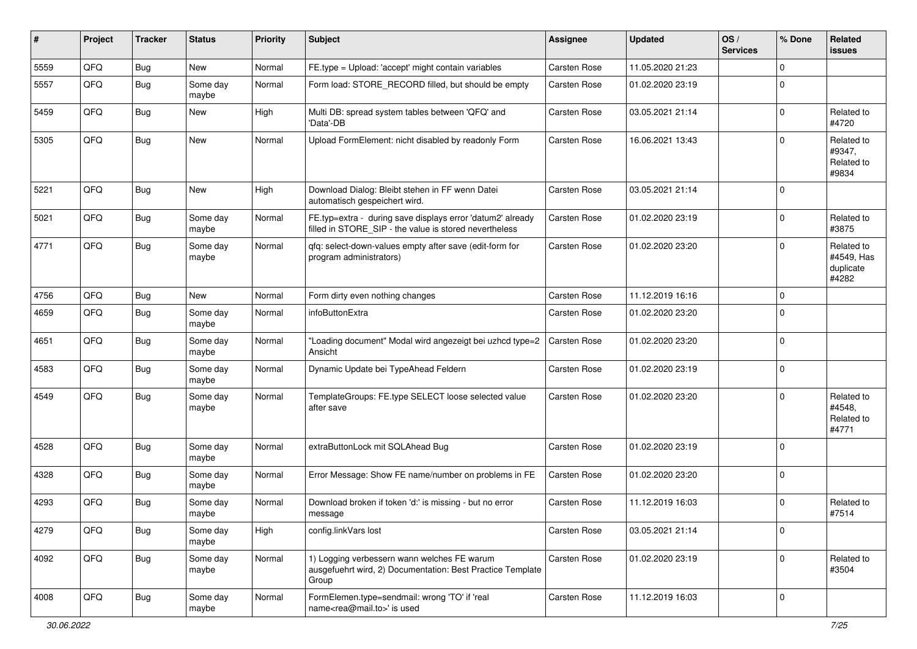| $\sharp$ | Project | <b>Tracker</b> | <b>Status</b>     | <b>Priority</b> | <b>Subject</b>                                                                                                       | <b>Assignee</b>     | <b>Updated</b>   | OS/<br><b>Services</b> | % Done      | Related<br>issues                              |
|----------|---------|----------------|-------------------|-----------------|----------------------------------------------------------------------------------------------------------------------|---------------------|------------------|------------------------|-------------|------------------------------------------------|
| 5559     | QFQ     | <b>Bug</b>     | New               | Normal          | FE.type = Upload: 'accept' might contain variables                                                                   | Carsten Rose        | 11.05.2020 21:23 |                        | $\mathbf 0$ |                                                |
| 5557     | QFQ     | <b>Bug</b>     | Some day<br>maybe | Normal          | Form load: STORE_RECORD filled, but should be empty                                                                  | Carsten Rose        | 01.02.2020 23:19 |                        | $\mathbf 0$ |                                                |
| 5459     | QFQ     | <b>Bug</b>     | New               | High            | Multi DB: spread system tables between 'QFQ' and<br>'Data'-DB                                                        | Carsten Rose        | 03.05.2021 21:14 |                        | $\mathbf 0$ | Related to<br>#4720                            |
| 5305     | QFQ     | <b>Bug</b>     | New               | Normal          | Upload FormElement: nicht disabled by readonly Form                                                                  | Carsten Rose        | 16.06.2021 13:43 |                        | $\Omega$    | Related to<br>#9347,<br>Related to<br>#9834    |
| 5221     | QFQ     | <b>Bug</b>     | New               | High            | Download Dialog: Bleibt stehen in FF wenn Datei<br>automatisch gespeichert wird.                                     | Carsten Rose        | 03.05.2021 21:14 |                        | $\mathbf 0$ |                                                |
| 5021     | QFQ     | <b>Bug</b>     | Some day<br>maybe | Normal          | FE.typ=extra - during save displays error 'datum2' already<br>filled in STORE_SIP - the value is stored nevertheless | Carsten Rose        | 01.02.2020 23:19 |                        | $\mathbf 0$ | Related to<br>#3875                            |
| 4771     | QFQ     | <b>Bug</b>     | Some day<br>maybe | Normal          | qfq: select-down-values empty after save (edit-form for<br>program administrators)                                   | Carsten Rose        | 01.02.2020 23:20 |                        | $\mathbf 0$ | Related to<br>#4549, Has<br>duplicate<br>#4282 |
| 4756     | QFQ     | <b>Bug</b>     | New               | Normal          | Form dirty even nothing changes                                                                                      | Carsten Rose        | 11.12.2019 16:16 |                        | $\mathbf 0$ |                                                |
| 4659     | QFQ     | <b>Bug</b>     | Some day<br>maybe | Normal          | infoButtonExtra                                                                                                      | Carsten Rose        | 01.02.2020 23:20 |                        | $\mathbf 0$ |                                                |
| 4651     | QFQ     | <b>Bug</b>     | Some day<br>maybe | Normal          | "Loading document" Modal wird angezeigt bei uzhcd type=2<br>Ansicht                                                  | Carsten Rose        | 01.02.2020 23:20 |                        | $\mathbf 0$ |                                                |
| 4583     | QFQ     | <b>Bug</b>     | Some day<br>maybe | Normal          | Dynamic Update bei TypeAhead Feldern                                                                                 | Carsten Rose        | 01.02.2020 23:19 |                        | $\mathbf 0$ |                                                |
| 4549     | QFQ     | <b>Bug</b>     | Some day<br>maybe | Normal          | TemplateGroups: FE.type SELECT loose selected value<br>after save                                                    | Carsten Rose        | 01.02.2020 23:20 |                        | $\mathbf 0$ | Related to<br>#4548.<br>Related to<br>#4771    |
| 4528     | QFQ     | <b>Bug</b>     | Some day<br>maybe | Normal          | extraButtonLock mit SQLAhead Bug                                                                                     | <b>Carsten Rose</b> | 01.02.2020 23:19 |                        | $\mathbf 0$ |                                                |
| 4328     | QFQ     | <b>Bug</b>     | Some day<br>maybe | Normal          | Error Message: Show FE name/number on problems in FE                                                                 | Carsten Rose        | 01.02.2020 23:20 |                        | $\mathbf 0$ |                                                |
| 4293     | QFQ     | <b>Bug</b>     | Some day<br>maybe | Normal          | Download broken if token 'd:' is missing - but no error<br>message                                                   | Carsten Rose        | 11.12.2019 16:03 |                        | $\mathbf 0$ | Related to<br>#7514                            |
| 4279     | QFQ     | <b>Bug</b>     | Some day<br>maybe | High            | config.linkVars lost                                                                                                 | Carsten Rose        | 03.05.2021 21:14 |                        | 0           |                                                |
| 4092     | QFQ     | <b>Bug</b>     | Some day<br>maybe | Normal          | 1) Logging verbessern wann welches FE warum<br>ausgefuehrt wird, 2) Documentation: Best Practice Template<br>Group   | Carsten Rose        | 01.02.2020 23:19 |                        | $\mathbf 0$ | Related to<br>#3504                            |
| 4008     | QFQ     | <b>Bug</b>     | Some day<br>maybe | Normal          | FormElemen.type=sendmail: wrong 'TO' if 'real<br>name <rea@mail.to>' is used</rea@mail.to>                           | Carsten Rose        | 11.12.2019 16:03 |                        | $\mathbf 0$ |                                                |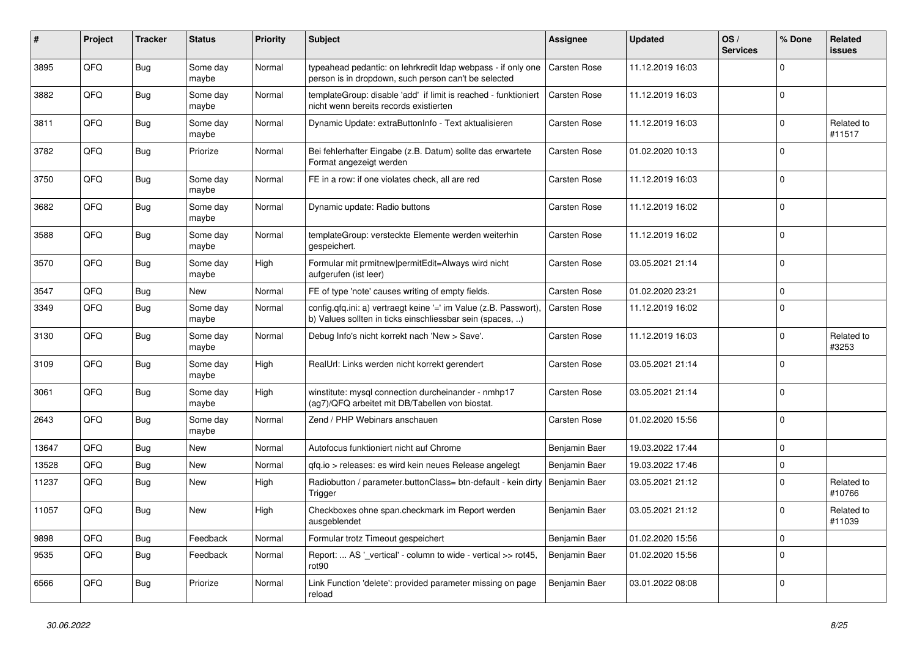| ∦     | Project | <b>Tracker</b> | <b>Status</b>     | <b>Priority</b> | <b>Subject</b>                                                                                                                | <b>Assignee</b>     | <b>Updated</b>   | OS/<br><b>Services</b> | % Done      | Related<br>issues    |
|-------|---------|----------------|-------------------|-----------------|-------------------------------------------------------------------------------------------------------------------------------|---------------------|------------------|------------------------|-------------|----------------------|
| 3895  | QFQ     | Bug            | Some day<br>maybe | Normal          | typeahead pedantic: on lehrkredit Idap webpass - if only one<br>person is in dropdown, such person can't be selected          | <b>Carsten Rose</b> | 11.12.2019 16:03 |                        | $\mathbf 0$ |                      |
| 3882  | QFQ     | <b>Bug</b>     | Some day<br>maybe | Normal          | templateGroup: disable 'add' if limit is reached - funktioniert<br>nicht wenn bereits records existierten                     | Carsten Rose        | 11.12.2019 16:03 |                        | 0           |                      |
| 3811  | QFQ     | <b>Bug</b>     | Some day<br>maybe | Normal          | Dynamic Update: extraButtonInfo - Text aktualisieren                                                                          | Carsten Rose        | 11.12.2019 16:03 |                        | $\Omega$    | Related to<br>#11517 |
| 3782  | QFQ     | <b>Bug</b>     | Priorize          | Normal          | Bei fehlerhafter Eingabe (z.B. Datum) sollte das erwartete<br>Format angezeigt werden                                         | Carsten Rose        | 01.02.2020 10:13 |                        | $\Omega$    |                      |
| 3750  | QFQ     | Bug            | Some day<br>maybe | Normal          | FE in a row: if one violates check, all are red                                                                               | Carsten Rose        | 11.12.2019 16:03 |                        | 0           |                      |
| 3682  | QFQ     | Bug            | Some day<br>maybe | Normal          | Dynamic update: Radio buttons                                                                                                 | Carsten Rose        | 11.12.2019 16:02 |                        | $\mathbf 0$ |                      |
| 3588  | QFQ     | <b>Bug</b>     | Some day<br>maybe | Normal          | templateGroup: versteckte Elemente werden weiterhin<br>gespeichert.                                                           | Carsten Rose        | 11.12.2019 16:02 |                        | $\mathbf 0$ |                      |
| 3570  | QFQ     | <b>Bug</b>     | Some day<br>maybe | High            | Formular mit prmitnew permitEdit=Always wird nicht<br>aufgerufen (ist leer)                                                   | Carsten Rose        | 03.05.2021 21:14 |                        | 0           |                      |
| 3547  | QFQ     | <b>Bug</b>     | New               | Normal          | FE of type 'note' causes writing of empty fields.                                                                             | <b>Carsten Rose</b> | 01.02.2020 23:21 |                        | $\Omega$    |                      |
| 3349  | QFQ     | <b>Bug</b>     | Some day<br>maybe | Normal          | config.qfq.ini: a) vertraegt keine '=' im Value (z.B. Passwort),<br>b) Values sollten in ticks einschliessbar sein (spaces, ) | Carsten Rose        | 11.12.2019 16:02 |                        | $\mathbf 0$ |                      |
| 3130  | QFQ     | Bug            | Some day<br>maybe | Normal          | Debug Info's nicht korrekt nach 'New > Save'.                                                                                 | Carsten Rose        | 11.12.2019 16:03 |                        | 0           | Related to<br>#3253  |
| 3109  | QFQ     | Bug            | Some day<br>maybe | High            | RealUrl: Links werden nicht korrekt gerendert                                                                                 | <b>Carsten Rose</b> | 03.05.2021 21:14 |                        | $\mathbf 0$ |                      |
| 3061  | QFQ     | Bug            | Some day<br>maybe | High            | winstitute: mysql connection durcheinander - nmhp17<br>(ag7)/QFQ arbeitet mit DB/Tabellen von biostat.                        | Carsten Rose        | 03.05.2021 21:14 |                        | 0           |                      |
| 2643  | QFQ     | <b>Bug</b>     | Some day<br>maybe | Normal          | Zend / PHP Webinars anschauen                                                                                                 | Carsten Rose        | 01.02.2020 15:56 |                        | $\Omega$    |                      |
| 13647 | QFQ     | <b>Bug</b>     | <b>New</b>        | Normal          | Autofocus funktioniert nicht auf Chrome                                                                                       | Benjamin Baer       | 19.03.2022 17:44 |                        | $\mathbf 0$ |                      |
| 13528 | QFQ     | Bug            | <b>New</b>        | Normal          | gfg.io > releases: es wird kein neues Release angelegt                                                                        | Benjamin Baer       | 19.03.2022 17:46 |                        | 0           |                      |
| 11237 | QFQ     | Bug            | New               | High            | Radiobutton / parameter.buttonClass= btn-default - kein dirty<br>Trigger                                                      | Benjamin Baer       | 03.05.2021 21:12 |                        | $\Omega$    | Related to<br>#10766 |
| 11057 | QFQ     | Bug            | <b>New</b>        | High            | Checkboxes ohne span.checkmark im Report werden<br>ausgeblendet                                                               | Benjamin Baer       | 03.05.2021 21:12 |                        | $\Omega$    | Related to<br>#11039 |
| 9898  | QFQ     | <b>Bug</b>     | Feedback          | Normal          | Formular trotz Timeout gespeichert                                                                                            | Benjamin Baer       | 01.02.2020 15:56 |                        | 0           |                      |
| 9535  | QFQ     | Bug            | Feedback          | Normal          | Report:  AS '_vertical' - column to wide - vertical >> rot45,<br>rot <sub>90</sub>                                            | Benjamin Baer       | 01.02.2020 15:56 |                        | $\mathbf 0$ |                      |
| 6566  | QFQ     | <b>Bug</b>     | Priorize          | Normal          | Link Function 'delete': provided parameter missing on page<br>reload                                                          | Benjamin Baer       | 03.01.2022 08:08 |                        | 0           |                      |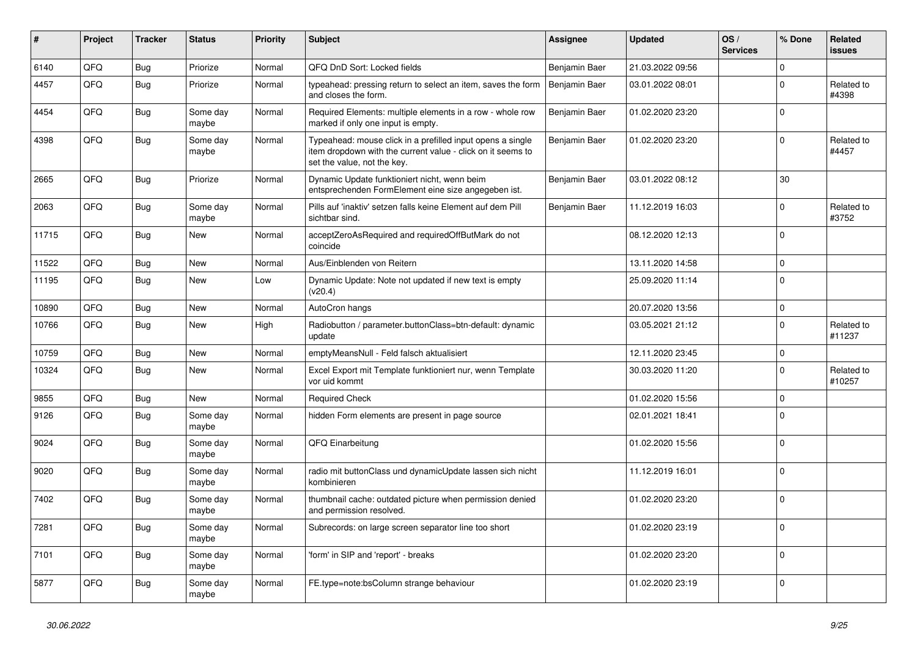| #     | Project | <b>Tracker</b> | <b>Status</b>     | <b>Priority</b> | <b>Subject</b>                                                                                                                                           | <b>Assignee</b> | <b>Updated</b>   | OS/<br><b>Services</b> | % Done      | <b>Related</b><br><b>issues</b> |
|-------|---------|----------------|-------------------|-----------------|----------------------------------------------------------------------------------------------------------------------------------------------------------|-----------------|------------------|------------------------|-------------|---------------------------------|
| 6140  | QFQ     | Bug            | Priorize          | Normal          | QFQ DnD Sort: Locked fields                                                                                                                              | Benjamin Baer   | 21.03.2022 09:56 |                        | $\mathbf 0$ |                                 |
| 4457  | QFQ     | Bug            | Priorize          | Normal          | typeahead: pressing return to select an item, saves the form<br>and closes the form.                                                                     | Benjamin Baer   | 03.01.2022 08:01 |                        | $\mathbf 0$ | Related to<br>#4398             |
| 4454  | QFQ     | <b>Bug</b>     | Some day<br>maybe | Normal          | Required Elements: multiple elements in a row - whole row<br>marked if only one input is empty.                                                          | Benjamin Baer   | 01.02.2020 23:20 |                        | $\Omega$    |                                 |
| 4398  | QFQ     | Bug            | Some day<br>maybe | Normal          | Typeahead: mouse click in a prefilled input opens a single<br>item dropdown with the current value - click on it seems to<br>set the value, not the key. | Benjamin Baer   | 01.02.2020 23:20 |                        | $\Omega$    | Related to<br>#4457             |
| 2665  | QFQ     | Bug            | Priorize          | Normal          | Dynamic Update funktioniert nicht, wenn beim<br>entsprechenden FormElement eine size angegeben ist.                                                      | Benjamin Baer   | 03.01.2022 08:12 |                        | 30          |                                 |
| 2063  | QFQ     | <b>Bug</b>     | Some day<br>maybe | Normal          | Pills auf 'inaktiv' setzen falls keine Element auf dem Pill<br>sichtbar sind.                                                                            | Benjamin Baer   | 11.12.2019 16:03 |                        | $\Omega$    | Related to<br>#3752             |
| 11715 | QFQ     | Bug            | <b>New</b>        | Normal          | acceptZeroAsRequired and requiredOffButMark do not<br>coincide                                                                                           |                 | 08.12.2020 12:13 |                        | $\Omega$    |                                 |
| 11522 | QFQ     | Bug            | New               | Normal          | Aus/Einblenden von Reitern                                                                                                                               |                 | 13.11.2020 14:58 |                        | $\mathbf 0$ |                                 |
| 11195 | QFQ     | Bug            | <b>New</b>        | Low             | Dynamic Update: Note not updated if new text is empty<br>(v20.4)                                                                                         |                 | 25.09.2020 11:14 |                        | $\mathbf 0$ |                                 |
| 10890 | QFQ     | <b>Bug</b>     | <b>New</b>        | Normal          | AutoCron hangs                                                                                                                                           |                 | 20.07.2020 13:56 |                        | $\mathbf 0$ |                                 |
| 10766 | QFQ     | Bug            | <b>New</b>        | High            | Radiobutton / parameter.buttonClass=btn-default: dynamic<br>update                                                                                       |                 | 03.05.2021 21:12 |                        | $\Omega$    | Related to<br>#11237            |
| 10759 | QFQ     | <b>Bug</b>     | <b>New</b>        | Normal          | emptyMeansNull - Feld falsch aktualisiert                                                                                                                |                 | 12.11.2020 23:45 |                        | $\mathbf 0$ |                                 |
| 10324 | QFQ     | <b>Bug</b>     | <b>New</b>        | Normal          | Excel Export mit Template funktioniert nur, wenn Template<br>vor uid kommt                                                                               |                 | 30.03.2020 11:20 |                        | $\Omega$    | Related to<br>#10257            |
| 9855  | QFQ     | <b>Bug</b>     | <b>New</b>        | Normal          | <b>Required Check</b>                                                                                                                                    |                 | 01.02.2020 15:56 |                        | $\mathbf 0$ |                                 |
| 9126  | QFQ     | Bug            | Some day<br>maybe | Normal          | hidden Form elements are present in page source                                                                                                          |                 | 02.01.2021 18:41 |                        | $\mathbf 0$ |                                 |
| 9024  | QFQ     | Bug            | Some day<br>maybe | Normal          | QFQ Einarbeitung                                                                                                                                         |                 | 01.02.2020 15:56 |                        | $\Omega$    |                                 |
| 9020  | QFQ     | Bug            | Some day<br>maybe | Normal          | radio mit buttonClass und dynamicUpdate lassen sich nicht<br>kombinieren                                                                                 |                 | 11.12.2019 16:01 |                        | $\Omega$    |                                 |
| 7402  | QFQ     | <b>Bug</b>     | Some day<br>maybe | Normal          | thumbnail cache: outdated picture when permission denied<br>and permission resolved.                                                                     |                 | 01.02.2020 23:20 |                        | $\mathbf 0$ |                                 |
| 7281  | QFQ     | Bug            | Some day<br>maybe | Normal          | Subrecords: on large screen separator line too short                                                                                                     |                 | 01.02.2020 23:19 |                        | $\Omega$    |                                 |
| 7101  | QFQ     | <b>Bug</b>     | Some day<br>maybe | Normal          | 'form' in SIP and 'report' - breaks                                                                                                                      |                 | 01.02.2020 23:20 |                        | $\mathbf 0$ |                                 |
| 5877  | QFQ     | <b>Bug</b>     | Some day<br>maybe | Normal          | FE.type=note:bsColumn strange behaviour                                                                                                                  |                 | 01.02.2020 23:19 |                        | $\mathbf 0$ |                                 |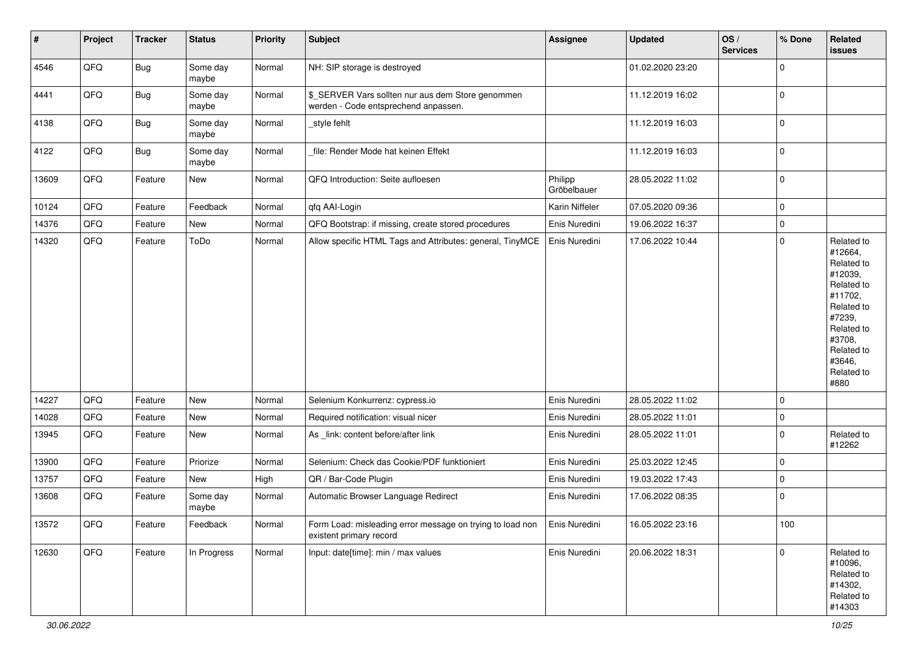| #     | Project | <b>Tracker</b> | <b>Status</b>     | <b>Priority</b> | <b>Subject</b>                                                                            | <b>Assignee</b>        | <b>Updated</b>   | OS/<br><b>Services</b> | % Done      | Related<br>issues                                                                                                                                                     |
|-------|---------|----------------|-------------------|-----------------|-------------------------------------------------------------------------------------------|------------------------|------------------|------------------------|-------------|-----------------------------------------------------------------------------------------------------------------------------------------------------------------------|
| 4546  | QFQ     | Bug            | Some day<br>maybe | Normal          | NH: SIP storage is destroyed                                                              |                        | 01.02.2020 23:20 |                        | 0           |                                                                                                                                                                       |
| 4441  | QFQ     | <b>Bug</b>     | Some day<br>maybe | Normal          | \$_SERVER Vars sollten nur aus dem Store genommen<br>werden - Code entsprechend anpassen. |                        | 11.12.2019 16:02 |                        | 0           |                                                                                                                                                                       |
| 4138  | QFQ     | <b>Bug</b>     | Some day<br>maybe | Normal          | _style fehlt                                                                              |                        | 11.12.2019 16:03 |                        | 0           |                                                                                                                                                                       |
| 4122  | QFQ     | <b>Bug</b>     | Some day<br>maybe | Normal          | file: Render Mode hat keinen Effekt                                                       |                        | 11.12.2019 16:03 |                        | 0           |                                                                                                                                                                       |
| 13609 | QFQ     | Feature        | New               | Normal          | QFQ Introduction: Seite aufloesen                                                         | Philipp<br>Gröbelbauer | 28.05.2022 11:02 |                        | $\pmb{0}$   |                                                                                                                                                                       |
| 10124 | QFQ     | Feature        | Feedback          | Normal          | qfq AAI-Login                                                                             | Karin Niffeler         | 07.05.2020 09:36 |                        | 0           |                                                                                                                                                                       |
| 14376 | QFQ     | Feature        | New               | Normal          | QFQ Bootstrap: if missing, create stored procedures                                       | Enis Nuredini          | 19.06.2022 16:37 |                        | 0           |                                                                                                                                                                       |
| 14320 | QFQ     | Feature        | ToDo              | Normal          | Allow specific HTML Tags and Attributes: general, TinyMCE                                 | Enis Nuredini          | 17.06.2022 10:44 |                        | $\mathbf 0$ | Related to<br>#12664,<br>Related to<br>#12039,<br>Related to<br>#11702,<br>Related to<br>#7239,<br>Related to<br>#3708,<br>Related to<br>#3646,<br>Related to<br>#880 |
| 14227 | QFQ     | Feature        | New               | Normal          | Selenium Konkurrenz: cypress.io                                                           | Enis Nuredini          | 28.05.2022 11:02 |                        | 0           |                                                                                                                                                                       |
| 14028 | QFQ     | Feature        | New               | Normal          | Required notification: visual nicer                                                       | Enis Nuredini          | 28.05.2022 11:01 |                        | 0           |                                                                                                                                                                       |
| 13945 | QFQ     | Feature        | New               | Normal          | As _link: content before/after link                                                       | Enis Nuredini          | 28.05.2022 11:01 |                        | 0           | Related to<br>#12262                                                                                                                                                  |
| 13900 | QFQ     | Feature        | Priorize          | Normal          | Selenium: Check das Cookie/PDF funktioniert                                               | Enis Nuredini          | 25.03.2022 12:45 |                        | 0           |                                                                                                                                                                       |
| 13757 | QFQ     | Feature        | New               | High            | QR / Bar-Code Plugin                                                                      | Enis Nuredini          | 19.03.2022 17:43 |                        | 0           |                                                                                                                                                                       |
| 13608 | QFQ     | Feature        | Some day<br>maybe | Normal          | Automatic Browser Language Redirect                                                       | Enis Nuredini          | 17.06.2022 08:35 |                        | 0           |                                                                                                                                                                       |
| 13572 | QFQ     | Feature        | Feedback          | Normal          | Form Load: misleading error message on trying to load non<br>existent primary record      | Enis Nuredini          | 16.05.2022 23:16 |                        | 100         |                                                                                                                                                                       |
| 12630 | QFQ     | Feature        | In Progress       | Normal          | Input: date[time]: min / max values                                                       | Enis Nuredini          | 20.06.2022 18:31 |                        | $\pmb{0}$   | Related to<br>#10096,<br>Related to<br>#14302,<br>Related to<br>#14303                                                                                                |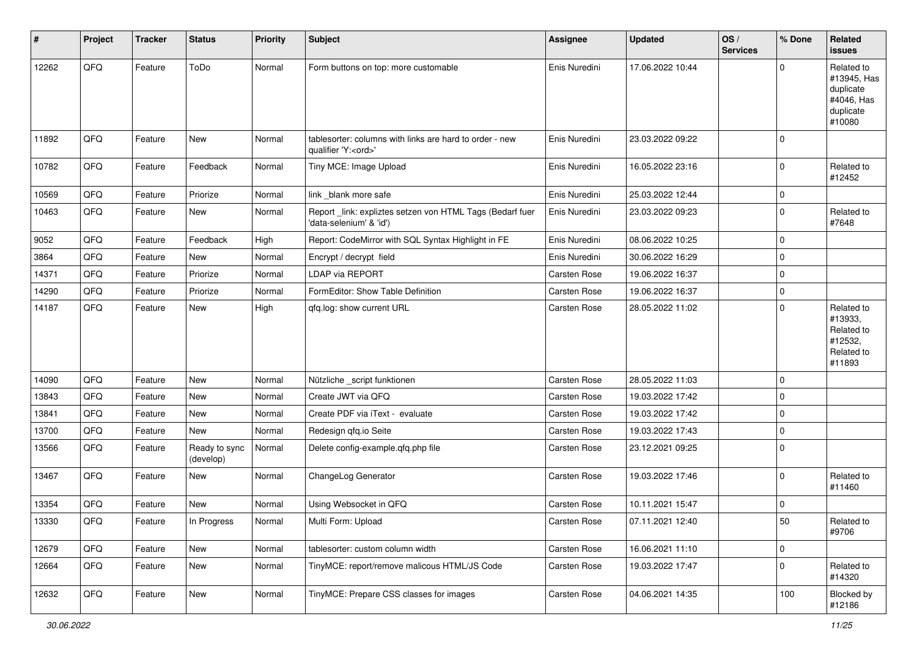| #     | Project | <b>Tracker</b> | <b>Status</b>              | <b>Priority</b> | <b>Subject</b>                                                                        | <b>Assignee</b> | <b>Updated</b>   | OS/<br><b>Services</b> | % Done      | Related<br>issues                                                           |
|-------|---------|----------------|----------------------------|-----------------|---------------------------------------------------------------------------------------|-----------------|------------------|------------------------|-------------|-----------------------------------------------------------------------------|
| 12262 | QFQ     | Feature        | ToDo                       | Normal          | Form buttons on top: more customable                                                  | Enis Nuredini   | 17.06.2022 10:44 |                        | $\Omega$    | Related to<br>#13945, Has<br>duplicate<br>#4046, Has<br>duplicate<br>#10080 |
| 11892 | QFQ     | Feature        | New                        | Normal          | tablesorter: columns with links are hard to order - new<br>qualifier 'Y: <ord>'</ord> | Enis Nuredini   | 23.03.2022 09:22 |                        | $\mathbf 0$ |                                                                             |
| 10782 | QFQ     | Feature        | Feedback                   | Normal          | Tiny MCE: Image Upload                                                                | Enis Nuredini   | 16.05.2022 23:16 |                        | $\mathbf 0$ | Related to<br>#12452                                                        |
| 10569 | QFQ     | Feature        | Priorize                   | Normal          | link _blank more safe                                                                 | Enis Nuredini   | 25.03.2022 12:44 |                        | 0           |                                                                             |
| 10463 | QFQ     | Feature        | New                        | Normal          | Report_link: expliztes setzen von HTML Tags (Bedarf fuer<br>'data-selenium' & 'id')   | Enis Nuredini   | 23.03.2022 09:23 |                        | $\mathbf 0$ | Related to<br>#7648                                                         |
| 9052  | QFQ     | Feature        | Feedback                   | High            | Report: CodeMirror with SQL Syntax Highlight in FE                                    | Enis Nuredini   | 08.06.2022 10:25 |                        | $\mathbf 0$ |                                                                             |
| 3864  | QFQ     | Feature        | New                        | Normal          | Encrypt / decrypt field                                                               | Enis Nuredini   | 30.06.2022 16:29 |                        | $\mathbf 0$ |                                                                             |
| 14371 | QFQ     | Feature        | Priorize                   | Normal          | LDAP via REPORT                                                                       | Carsten Rose    | 19.06.2022 16:37 |                        | $\pmb{0}$   |                                                                             |
| 14290 | QFQ     | Feature        | Priorize                   | Normal          | FormEditor: Show Table Definition                                                     | Carsten Rose    | 19.06.2022 16:37 |                        | $\mathbf 0$ |                                                                             |
| 14187 | QFQ     | Feature        | New                        | High            | qfq.log: show current URL                                                             | Carsten Rose    | 28.05.2022 11:02 |                        | $\mathbf 0$ | Related to<br>#13933,<br>Related to<br>#12532,<br>Related to<br>#11893      |
| 14090 | QFQ     | Feature        | New                        | Normal          | Nützliche _script funktionen                                                          | Carsten Rose    | 28.05.2022 11:03 |                        | $\mathbf 0$ |                                                                             |
| 13843 | QFQ     | Feature        | New                        | Normal          | Create JWT via QFQ                                                                    | Carsten Rose    | 19.03.2022 17:42 |                        | $\mathbf 0$ |                                                                             |
| 13841 | QFQ     | Feature        | New                        | Normal          | Create PDF via iText - evaluate                                                       | Carsten Rose    | 19.03.2022 17:42 |                        | $\mathbf 0$ |                                                                             |
| 13700 | QFQ     | Feature        | New                        | Normal          | Redesign qfq.io Seite                                                                 | Carsten Rose    | 19.03.2022 17:43 |                        | $\pmb{0}$   |                                                                             |
| 13566 | QFQ     | Feature        | Ready to sync<br>(develop) | Normal          | Delete config-example.qfq.php file                                                    | Carsten Rose    | 23.12.2021 09:25 |                        | $\mathbf 0$ |                                                                             |
| 13467 | QFQ     | Feature        | New                        | Normal          | ChangeLog Generator                                                                   | Carsten Rose    | 19.03.2022 17:46 |                        | $\mathbf 0$ | Related to<br>#11460                                                        |
| 13354 | QFQ     | Feature        | New                        | Normal          | Using Websocket in QFQ                                                                | Carsten Rose    | 10.11.2021 15:47 |                        | 0           |                                                                             |
| 13330 | QFQ     | Feature        | In Progress                | Normal          | Multi Form: Upload                                                                    | Carsten Rose    | 07.11.2021 12:40 |                        | 50          | Related to<br>#9706                                                         |
| 12679 | QFQ     | Feature        | New                        | Normal          | tablesorter: custom column width                                                      | Carsten Rose    | 16.06.2021 11:10 |                        | $\mathbf 0$ |                                                                             |
| 12664 | QFQ     | Feature        | New                        | Normal          | TinyMCE: report/remove malicous HTML/JS Code                                          | Carsten Rose    | 19.03.2022 17:47 |                        | $\mathbf 0$ | Related to<br>#14320                                                        |
| 12632 | QFQ     | Feature        | New                        | Normal          | TinyMCE: Prepare CSS classes for images                                               | Carsten Rose    | 04.06.2021 14:35 |                        | 100         | Blocked by<br>#12186                                                        |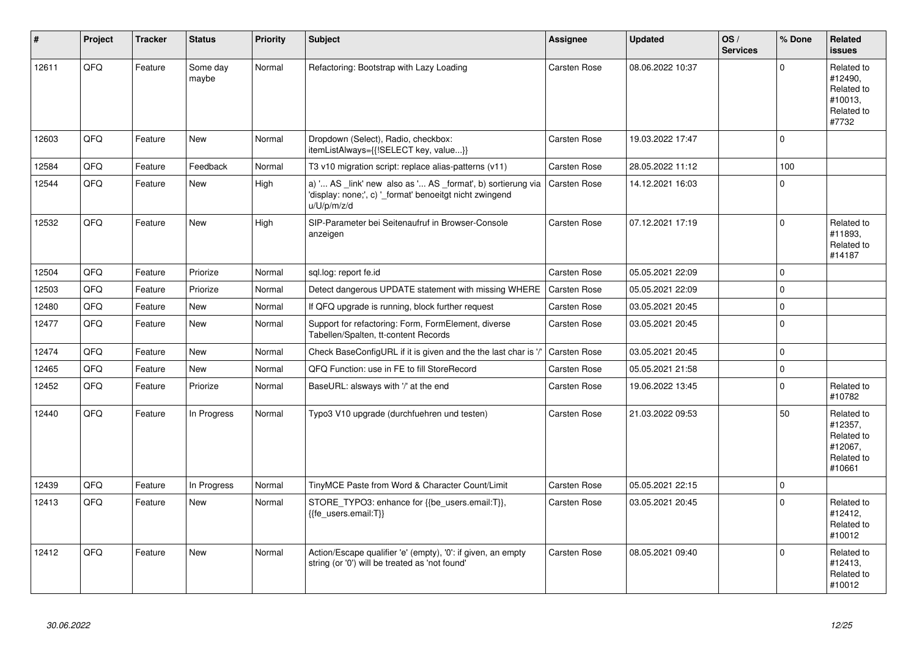| #     | Project | <b>Tracker</b> | <b>Status</b>     | <b>Priority</b> | <b>Subject</b>                                                                                                                        | Assignee            | <b>Updated</b>   | OS/<br><b>Services</b> | % Done      | Related<br><b>issues</b>                                               |
|-------|---------|----------------|-------------------|-----------------|---------------------------------------------------------------------------------------------------------------------------------------|---------------------|------------------|------------------------|-------------|------------------------------------------------------------------------|
| 12611 | QFQ     | Feature        | Some day<br>maybe | Normal          | Refactoring: Bootstrap with Lazy Loading                                                                                              | Carsten Rose        | 08.06.2022 10:37 |                        | $\mathbf 0$ | Related to<br>#12490,<br>Related to<br>#10013.<br>Related to<br>#7732  |
| 12603 | QFQ     | Feature        | New               | Normal          | Dropdown (Select), Radio, checkbox:<br>itemListAlways={{!SELECT key, value}}                                                          | Carsten Rose        | 19.03.2022 17:47 |                        | $\mathbf 0$ |                                                                        |
| 12584 | QFQ     | Feature        | Feedback          | Normal          | T3 v10 migration script: replace alias-patterns (v11)                                                                                 | <b>Carsten Rose</b> | 28.05.2022 11:12 |                        | 100         |                                                                        |
| 12544 | QFQ     | Feature        | New               | High            | a) ' AS _link' new also as ' AS _format', b) sortierung via<br>'display: none;', c) '_format' benoeitgt nicht zwingend<br>u/U/p/m/z/d | Carsten Rose        | 14.12.2021 16:03 |                        | $\Omega$    |                                                                        |
| 12532 | QFQ     | Feature        | New               | High            | SIP-Parameter bei Seitenaufruf in Browser-Console<br>anzeigen                                                                         | Carsten Rose        | 07.12.2021 17:19 |                        | $\mathbf 0$ | Related to<br>#11893,<br>Related to<br>#14187                          |
| 12504 | QFQ     | Feature        | Priorize          | Normal          | sql.log: report fe.id                                                                                                                 | Carsten Rose        | 05.05.2021 22:09 |                        | $\mathbf 0$ |                                                                        |
| 12503 | QFQ     | Feature        | Priorize          | Normal          | Detect dangerous UPDATE statement with missing WHERE                                                                                  | <b>Carsten Rose</b> | 05.05.2021 22:09 |                        | $\mathbf 0$ |                                                                        |
| 12480 | QFQ     | Feature        | New               | Normal          | If QFQ upgrade is running, block further request                                                                                      | Carsten Rose        | 03.05.2021 20:45 |                        | $\Omega$    |                                                                        |
| 12477 | QFQ     | Feature        | New               | Normal          | Support for refactoring: Form, FormElement, diverse<br>Tabellen/Spalten, tt-content Records                                           | Carsten Rose        | 03.05.2021 20:45 |                        | $\mathbf 0$ |                                                                        |
| 12474 | QFQ     | Feature        | New               | Normal          | Check BaseConfigURL if it is given and the the last char is '/'                                                                       | <b>Carsten Rose</b> | 03.05.2021 20:45 |                        | $\Omega$    |                                                                        |
| 12465 | QFQ     | Feature        | New               | Normal          | QFQ Function: use in FE to fill StoreRecord                                                                                           | Carsten Rose        | 05.05.2021 21:58 |                        | $\pmb{0}$   |                                                                        |
| 12452 | QFQ     | Feature        | Priorize          | Normal          | BaseURL: alsways with '/' at the end                                                                                                  | Carsten Rose        | 19.06.2022 13:45 |                        | $\Omega$    | Related to<br>#10782                                                   |
| 12440 | QFQ     | Feature        | In Progress       | Normal          | Typo3 V10 upgrade (durchfuehren und testen)                                                                                           | Carsten Rose        | 21.03.2022 09:53 |                        | 50          | Related to<br>#12357,<br>Related to<br>#12067.<br>Related to<br>#10661 |
| 12439 | QFQ     | Feature        | In Progress       | Normal          | TinyMCE Paste from Word & Character Count/Limit                                                                                       | Carsten Rose        | 05.05.2021 22:15 |                        | $\pmb{0}$   |                                                                        |
| 12413 | QFQ     | Feature        | <b>New</b>        | Normal          | STORE_TYPO3: enhance for {{be_users.email:T}},<br>{{fe users.email:T}}                                                                | Carsten Rose        | 03.05.2021 20:45 |                        | $\Omega$    | Related to<br>#12412,<br>Related to<br>#10012                          |
| 12412 | QFQ     | Feature        | <b>New</b>        | Normal          | Action/Escape qualifier 'e' (empty), '0': if given, an empty<br>string (or '0') will be treated as 'not found'                        | <b>Carsten Rose</b> | 08.05.2021 09:40 |                        | $\Omega$    | Related to<br>#12413,<br>Related to<br>#10012                          |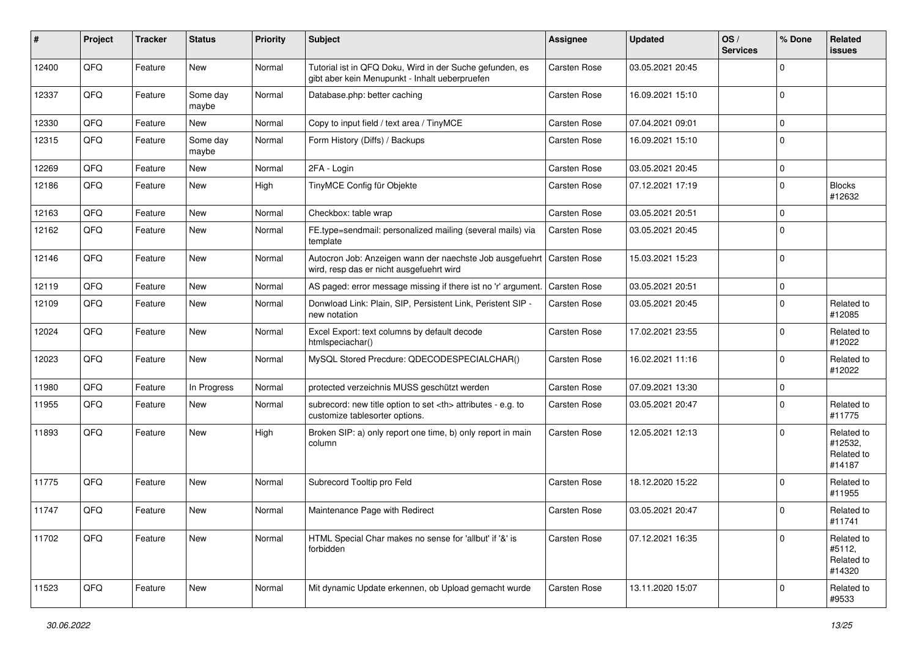| #     | Project | <b>Tracker</b> | <b>Status</b>     | <b>Priority</b> | <b>Subject</b>                                                                                                      | <b>Assignee</b>                                        | <b>Updated</b>      | OS/<br><b>Services</b> | % Done      | Related<br><b>issues</b>                      |                      |
|-------|---------|----------------|-------------------|-----------------|---------------------------------------------------------------------------------------------------------------------|--------------------------------------------------------|---------------------|------------------------|-------------|-----------------------------------------------|----------------------|
| 12400 | QFQ     | Feature        | New               | Normal          | Tutorial ist in QFQ Doku, Wird in der Suche gefunden, es<br>gibt aber kein Menupunkt - Inhalt ueberpruefen          | <b>Carsten Rose</b>                                    | 03.05.2021 20:45    |                        | $\mathbf 0$ |                                               |                      |
| 12337 | QFQ     | Feature        | Some day<br>maybe | Normal          | Database.php: better caching                                                                                        | <b>Carsten Rose</b>                                    | 16.09.2021 15:10    |                        | $\mathbf 0$ |                                               |                      |
| 12330 | QFQ     | Feature        | New               | Normal          | Copy to input field / text area / TinyMCE                                                                           | Carsten Rose                                           | 07.04.2021 09:01    |                        | $\mathbf 0$ |                                               |                      |
| 12315 | QFQ     | Feature        | Some day<br>maybe | Normal          | Form History (Diffs) / Backups                                                                                      | Carsten Rose                                           | 16.09.2021 15:10    |                        | $\mathbf 0$ |                                               |                      |
| 12269 | QFQ     | Feature        | New               | Normal          | 2FA - Login                                                                                                         | Carsten Rose                                           | 03.05.2021 20:45    |                        | $\mathbf 0$ |                                               |                      |
| 12186 | QFQ     | Feature        | New               | High            | TinyMCE Config für Objekte                                                                                          | <b>Carsten Rose</b>                                    | 07.12.2021 17:19    |                        | $\mathbf 0$ | <b>Blocks</b><br>#12632                       |                      |
| 12163 | QFQ     | Feature        | <b>New</b>        | Normal          | Checkbox: table wrap                                                                                                | <b>Carsten Rose</b>                                    | 03.05.2021 20:51    |                        | $\mathbf 0$ |                                               |                      |
| 12162 | QFQ     | Feature        | New               | Normal          | FE.type=sendmail: personalized mailing (several mails) via<br>template                                              | Carsten Rose                                           | 03.05.2021 20:45    |                        | $\mathbf 0$ |                                               |                      |
| 12146 | QFQ     | Feature        | New               | Normal          | Autocron Job: Anzeigen wann der naechste Job ausgefuehrt   Carsten Rose<br>wird, resp das er nicht ausgefuehrt wird |                                                        | 15.03.2021 15:23    |                        | $\mathbf 0$ |                                               |                      |
| 12119 | QFQ     | Feature        | <b>New</b>        | Normal          | AS paged: error message missing if there ist no 'r' argument.                                                       | <b>Carsten Rose</b>                                    | 03.05.2021 20:51    |                        | $\mathbf 0$ |                                               |                      |
| 12109 | QFQ     | Feature        | New               | Normal          | Donwload Link: Plain, SIP, Persistent Link, Peristent SIP -<br>new notation                                         | Carsten Rose                                           | 03.05.2021 20:45    |                        | $\mathbf 0$ | Related to<br>#12085                          |                      |
| 12024 | QFQ     | Feature        | New               | Normal          | Excel Export: text columns by default decode<br>htmlspeciachar()                                                    | Carsten Rose                                           | 17.02.2021 23:55    |                        | $\mathbf 0$ | Related to<br>#12022                          |                      |
| 12023 | QFQ     | Feature        | New               | Normal          | MySQL Stored Precdure: QDECODESPECIALCHAR()                                                                         | Carsten Rose                                           | 16.02.2021 11:16    |                        | $\mathbf 0$ | Related to<br>#12022                          |                      |
| 11980 | QFQ     | Feature        | In Progress       | Normal          | protected verzeichnis MUSS geschützt werden                                                                         | Carsten Rose                                           | 07.09.2021 13:30    |                        | $\mathbf 0$ |                                               |                      |
| 11955 | QFQ     | Feature        | New               | Normal          | subrecord: new title option to set <th> attributes - e.g. to<br/>customize tablesorter options.</th>                | attributes - e.g. to<br>customize tablesorter options. | <b>Carsten Rose</b> | 03.05.2021 20:47       |             | $\mathbf 0$                                   | Related to<br>#11775 |
| 11893 | QFQ     | Feature        | New               | High            | Broken SIP: a) only report one time, b) only report in main<br>column                                               | <b>Carsten Rose</b>                                    | 12.05.2021 12:13    |                        | $\Omega$    | Related to<br>#12532,<br>Related to<br>#14187 |                      |
| 11775 | QFQ     | Feature        | New               | Normal          | Subrecord Tooltip pro Feld                                                                                          | <b>Carsten Rose</b>                                    | 18.12.2020 15:22    |                        | $\mathbf 0$ | Related to<br>#11955                          |                      |
| 11747 | QFQ     | Feature        | New               | Normal          | Maintenance Page with Redirect                                                                                      | <b>Carsten Rose</b>                                    | 03.05.2021 20:47    |                        | $\mathbf 0$ | Related to<br>#11741                          |                      |
| 11702 | QFQ     | Feature        | New               | Normal          | HTML Special Char makes no sense for 'allbut' if '&' is<br>forbidden                                                | Carsten Rose                                           | 07.12.2021 16:35    |                        | $\mathbf 0$ | Related to<br>#5112,<br>Related to<br>#14320  |                      |
| 11523 | QFQ     | Feature        | New               | Normal          | Mit dynamic Update erkennen, ob Upload gemacht wurde                                                                | Carsten Rose                                           | 13.11.2020 15:07    |                        | $\mathbf 0$ | Related to<br>#9533                           |                      |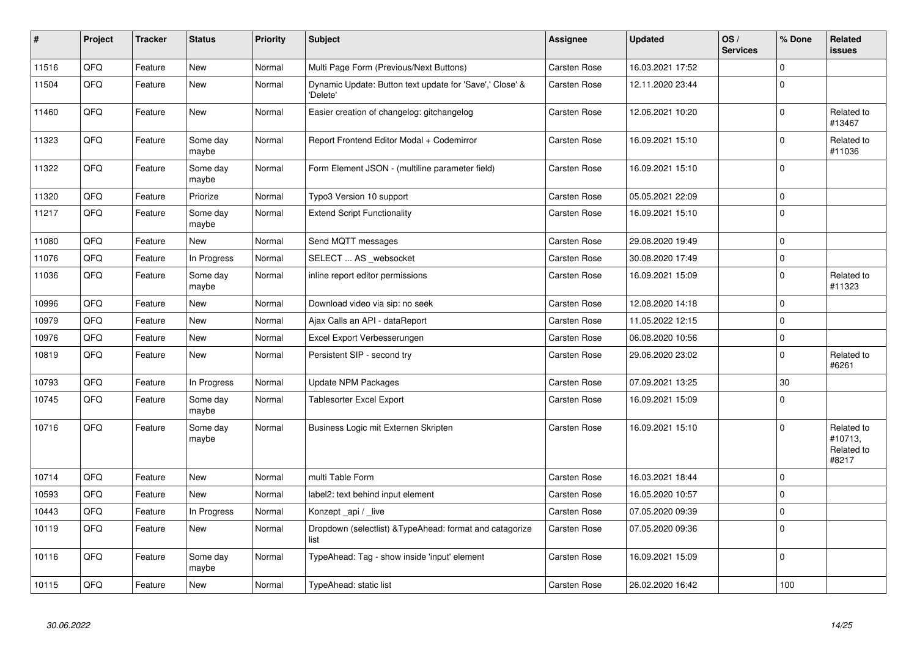| $\vert$ # | Project | <b>Tracker</b> | <b>Status</b>     | <b>Priority</b> | Subject                                                              | Assignee     | <b>Updated</b>   | OS/<br><b>Services</b> | % Done      | Related<br><b>issues</b>                     |
|-----------|---------|----------------|-------------------|-----------------|----------------------------------------------------------------------|--------------|------------------|------------------------|-------------|----------------------------------------------|
| 11516     | QFQ     | Feature        | <b>New</b>        | Normal          | Multi Page Form (Previous/Next Buttons)                              | Carsten Rose | 16.03.2021 17:52 |                        | $\Omega$    |                                              |
| 11504     | QFQ     | Feature        | New               | Normal          | Dynamic Update: Button text update for 'Save',' Close' &<br>'Delete' | Carsten Rose | 12.11.2020 23:44 |                        | $\Omega$    |                                              |
| 11460     | QFQ     | Feature        | <b>New</b>        | Normal          | Easier creation of changelog: gitchangelog                           | Carsten Rose | 12.06.2021 10:20 |                        | $\Omega$    | Related to<br>#13467                         |
| 11323     | QFQ     | Feature        | Some day<br>maybe | Normal          | Report Frontend Editor Modal + Codemirror                            | Carsten Rose | 16.09.2021 15:10 |                        | $\Omega$    | Related to<br>#11036                         |
| 11322     | QFQ     | Feature        | Some day<br>maybe | Normal          | Form Element JSON - (multiline parameter field)                      | Carsten Rose | 16.09.2021 15:10 |                        | $\mathbf 0$ |                                              |
| 11320     | QFQ     | Feature        | Priorize          | Normal          | Typo3 Version 10 support                                             | Carsten Rose | 05.05.2021 22:09 |                        | $\mathbf 0$ |                                              |
| 11217     | QFQ     | Feature        | Some day<br>maybe | Normal          | <b>Extend Script Functionality</b>                                   | Carsten Rose | 16.09.2021 15:10 |                        | $\Omega$    |                                              |
| 11080     | QFQ     | Feature        | New               | Normal          | Send MQTT messages                                                   | Carsten Rose | 29.08.2020 19:49 |                        | $\Omega$    |                                              |
| 11076     | QFQ     | Feature        | In Progress       | Normal          | SELECT  AS _websocket                                                | Carsten Rose | 30.08.2020 17:49 |                        | $\mathbf 0$ |                                              |
| 11036     | QFQ     | Feature        | Some day<br>maybe | Normal          | inline report editor permissions                                     | Carsten Rose | 16.09.2021 15:09 |                        | $\Omega$    | Related to<br>#11323                         |
| 10996     | QFQ     | Feature        | <b>New</b>        | Normal          | Download video via sip: no seek                                      | Carsten Rose | 12.08.2020 14:18 |                        | $\mathbf 0$ |                                              |
| 10979     | QFQ     | Feature        | <b>New</b>        | Normal          | Ajax Calls an API - dataReport                                       | Carsten Rose | 11.05.2022 12:15 |                        | $\Omega$    |                                              |
| 10976     | QFQ     | Feature        | <b>New</b>        | Normal          | Excel Export Verbesserungen                                          | Carsten Rose | 06.08.2020 10:56 |                        | $\Omega$    |                                              |
| 10819     | QFQ     | Feature        | <b>New</b>        | Normal          | Persistent SIP - second try                                          | Carsten Rose | 29.06.2020 23:02 |                        | $\Omega$    | Related to<br>#6261                          |
| 10793     | QFQ     | Feature        | In Progress       | Normal          | <b>Update NPM Packages</b>                                           | Carsten Rose | 07.09.2021 13:25 |                        | 30          |                                              |
| 10745     | QFQ     | Feature        | Some day<br>maybe | Normal          | Tablesorter Excel Export                                             | Carsten Rose | 16.09.2021 15:09 |                        | $\Omega$    |                                              |
| 10716     | QFQ     | Feature        | Some day<br>maybe | Normal          | Business Logic mit Externen Skripten                                 | Carsten Rose | 16.09.2021 15:10 |                        | $\Omega$    | Related to<br>#10713,<br>Related to<br>#8217 |
| 10714     | QFQ     | Feature        | <b>New</b>        | Normal          | multi Table Form                                                     | Carsten Rose | 16.03.2021 18:44 |                        | $\mathbf 0$ |                                              |
| 10593     | QFQ     | Feature        | <b>New</b>        | Normal          | label2: text behind input element                                    | Carsten Rose | 16.05.2020 10:57 |                        | $\Omega$    |                                              |
| 10443     | QFQ     | Feature        | In Progress       | Normal          | Konzept api / live                                                   | Carsten Rose | 07.05.2020 09:39 |                        | $\pmb{0}$   |                                              |
| 10119     | QFQ     | Feature        | New               | Normal          | Dropdown (selectlist) & Type Ahead: format and catagorize<br>list    | Carsten Rose | 07.05.2020 09:36 |                        | $\Omega$    |                                              |
| 10116     | QFQ     | Feature        | Some day<br>maybe | Normal          | TypeAhead: Tag - show inside 'input' element                         | Carsten Rose | 16.09.2021 15:09 |                        | $\mathbf 0$ |                                              |
| 10115     | QFQ     | Feature        | <b>New</b>        | Normal          | TypeAhead: static list                                               | Carsten Rose | 26.02.2020 16:42 |                        | 100         |                                              |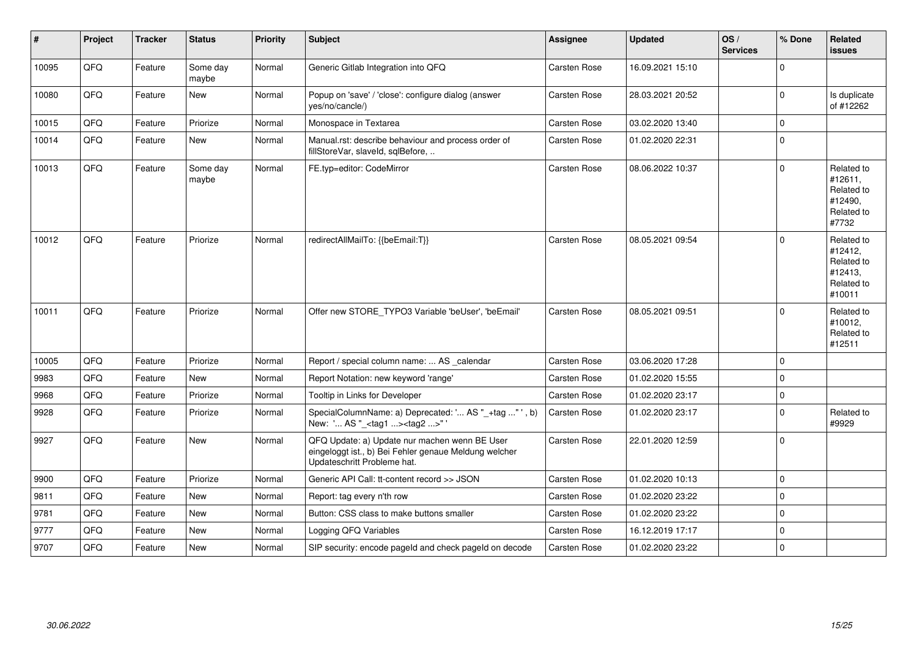| $\vert$ # | Project | <b>Tracker</b> | <b>Status</b>     | <b>Priority</b> | <b>Subject</b>                                                                                                                        | <b>Assignee</b>     | <b>Updated</b>   | OS/<br><b>Services</b> | % Done      | Related<br>issues                                                      |
|-----------|---------|----------------|-------------------|-----------------|---------------------------------------------------------------------------------------------------------------------------------------|---------------------|------------------|------------------------|-------------|------------------------------------------------------------------------|
| 10095     | QFQ     | Feature        | Some day<br>maybe | Normal          | Generic Gitlab Integration into QFQ                                                                                                   | Carsten Rose        | 16.09.2021 15:10 |                        | $\mathbf 0$ |                                                                        |
| 10080     | QFQ     | Feature        | <b>New</b>        | Normal          | Popup on 'save' / 'close': configure dialog (answer<br>yes/no/cancle/)                                                                | Carsten Rose        | 28.03.2021 20:52 |                        | $\mathbf 0$ | Is duplicate<br>of #12262                                              |
| 10015     | QFQ     | Feature        | Priorize          | Normal          | Monospace in Textarea                                                                                                                 | Carsten Rose        | 03.02.2020 13:40 |                        | $\Omega$    |                                                                        |
| 10014     | QFQ     | Feature        | <b>New</b>        | Normal          | Manual.rst: describe behaviour and process order of<br>fillStoreVar, slaveId, sqlBefore,                                              | Carsten Rose        | 01.02.2020 22:31 |                        | $\Omega$    |                                                                        |
| 10013     | QFQ     | Feature        | Some day<br>maybe | Normal          | FE.typ=editor: CodeMirror                                                                                                             | Carsten Rose        | 08.06.2022 10:37 |                        | $\Omega$    | Related to<br>#12611,<br>Related to<br>#12490,<br>Related to<br>#7732  |
| 10012     | QFQ     | Feature        | Priorize          | Normal          | redirectAllMailTo: {{beEmail:T}}                                                                                                      | <b>Carsten Rose</b> | 08.05.2021 09:54 |                        | $\Omega$    | Related to<br>#12412,<br>Related to<br>#12413,<br>Related to<br>#10011 |
| 10011     | QFQ     | Feature        | Priorize          | Normal          | Offer new STORE_TYPO3 Variable 'beUser', 'beEmail'                                                                                    | Carsten Rose        | 08.05.2021 09:51 |                        | $\mathbf 0$ | Related to<br>#10012,<br>Related to<br>#12511                          |
| 10005     | QFQ     | Feature        | Priorize          | Normal          | Report / special column name:  AS _calendar                                                                                           | Carsten Rose        | 03.06.2020 17:28 |                        | $\Omega$    |                                                                        |
| 9983      | QFQ     | Feature        | <b>New</b>        | Normal          | Report Notation: new keyword 'range'                                                                                                  | Carsten Rose        | 01.02.2020 15:55 |                        | $\Omega$    |                                                                        |
| 9968      | QFQ     | Feature        | Priorize          | Normal          | Tooltip in Links for Developer                                                                                                        | Carsten Rose        | 01.02.2020 23:17 |                        | $\mathbf 0$ |                                                                        |
| 9928      | QFQ     | Feature        | Priorize          | Normal          | SpecialColumnName: a) Deprecated: ' AS "_+tag " ', b)<br>New: ' AS "_ <tag1><tag2>"</tag2></tag1>                                     | Carsten Rose        | 01.02.2020 23:17 |                        | $\mathbf 0$ | Related to<br>#9929                                                    |
| 9927      | QFQ     | Feature        | <b>New</b>        | Normal          | QFQ Update: a) Update nur machen wenn BE User<br>eingeloggt ist., b) Bei Fehler genaue Meldung welcher<br>Updateschritt Probleme hat. | Carsten Rose        | 22.01.2020 12:59 |                        | $\Omega$    |                                                                        |
| 9900      | QFQ     | Feature        | Priorize          | Normal          | Generic API Call: tt-content record >> JSON                                                                                           | Carsten Rose        | 01.02.2020 10:13 |                        | $\mathbf 0$ |                                                                        |
| 9811      | QFQ     | Feature        | <b>New</b>        | Normal          | Report: tag every n'th row                                                                                                            | Carsten Rose        | 01.02.2020 23:22 |                        | $\mathbf 0$ |                                                                        |
| 9781      | QFQ     | Feature        | <b>New</b>        | Normal          | Button: CSS class to make buttons smaller                                                                                             | Carsten Rose        | 01.02.2020 23:22 |                        | $\mathbf 0$ |                                                                        |
| 9777      | QFQ     | Feature        | New               | Normal          | Logging QFQ Variables                                                                                                                 | Carsten Rose        | 16.12.2019 17:17 |                        | $\Omega$    |                                                                        |
| 9707      | QFQ     | Feature        | <b>New</b>        | Normal          | SIP security: encode pageld and check pageld on decode                                                                                | <b>Carsten Rose</b> | 01.02.2020 23:22 |                        | $\pmb{0}$   |                                                                        |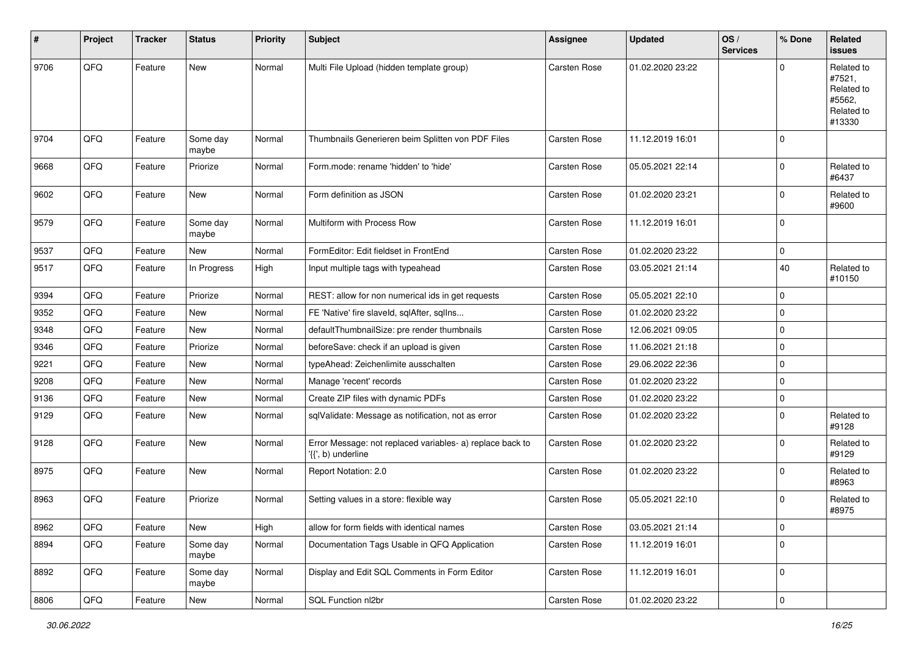| #    | Project | <b>Tracker</b> | <b>Status</b>     | <b>Priority</b> | <b>Subject</b>                                                                  | <b>Assignee</b>     | <b>Updated</b>   | OS/<br><b>Services</b> | % Done         | Related<br><b>issues</b>                                             |
|------|---------|----------------|-------------------|-----------------|---------------------------------------------------------------------------------|---------------------|------------------|------------------------|----------------|----------------------------------------------------------------------|
| 9706 | QFQ     | Feature        | New               | Normal          | Multi File Upload (hidden template group)                                       | <b>Carsten Rose</b> | 01.02.2020 23:22 |                        | $\Omega$       | Related to<br>#7521,<br>Related to<br>#5562,<br>Related to<br>#13330 |
| 9704 | QFQ     | Feature        | Some day<br>maybe | Normal          | Thumbnails Generieren beim Splitten von PDF Files                               | <b>Carsten Rose</b> | 11.12.2019 16:01 |                        | 0              |                                                                      |
| 9668 | QFQ     | Feature        | Priorize          | Normal          | Form.mode: rename 'hidden' to 'hide'                                            | Carsten Rose        | 05.05.2021 22:14 |                        | $\overline{0}$ | Related to<br>#6437                                                  |
| 9602 | QFQ     | Feature        | New               | Normal          | Form definition as JSON                                                         | Carsten Rose        | 01.02.2020 23:21 |                        | 0              | Related to<br>#9600                                                  |
| 9579 | QFQ     | Feature        | Some day<br>maybe | Normal          | Multiform with Process Row                                                      | Carsten Rose        | 11.12.2019 16:01 |                        | $\mathbf 0$    |                                                                      |
| 9537 | QFQ     | Feature        | <b>New</b>        | Normal          | FormEditor: Edit fieldset in FrontEnd                                           | Carsten Rose        | 01.02.2020 23:22 |                        | 0              |                                                                      |
| 9517 | QFQ     | Feature        | In Progress       | High            | Input multiple tags with typeahead                                              | Carsten Rose        | 03.05.2021 21:14 |                        | 40             | Related to<br>#10150                                                 |
| 9394 | QFQ     | Feature        | Priorize          | Normal          | REST: allow for non numerical ids in get requests                               | <b>Carsten Rose</b> | 05.05.2021 22:10 |                        | 0              |                                                                      |
| 9352 | QFQ     | Feature        | New               | Normal          | FE 'Native' fire slaveld, sqlAfter, sqllns                                      | <b>Carsten Rose</b> | 01.02.2020 23:22 |                        | 0              |                                                                      |
| 9348 | QFQ     | Feature        | New               | Normal          | defaultThumbnailSize: pre render thumbnails                                     | Carsten Rose        | 12.06.2021 09:05 |                        | $\pmb{0}$      |                                                                      |
| 9346 | QFQ     | Feature        | Priorize          | Normal          | beforeSave: check if an upload is given                                         | Carsten Rose        | 11.06.2021 21:18 |                        | 0              |                                                                      |
| 9221 | QFQ     | Feature        | New               | Normal          | typeAhead: Zeichenlimite ausschalten                                            | <b>Carsten Rose</b> | 29.06.2022 22:36 |                        | 0              |                                                                      |
| 9208 | QFQ     | Feature        | <b>New</b>        | Normal          | Manage 'recent' records                                                         | Carsten Rose        | 01.02.2020 23:22 |                        | 0              |                                                                      |
| 9136 | QFQ     | Feature        | New               | Normal          | Create ZIP files with dynamic PDFs                                              | Carsten Rose        | 01.02.2020 23:22 |                        | 0              |                                                                      |
| 9129 | QFQ     | Feature        | New               | Normal          | sqlValidate: Message as notification, not as error                              | Carsten Rose        | 01.02.2020 23:22 |                        | $\Omega$       | Related to<br>#9128                                                  |
| 9128 | QFQ     | Feature        | New               | Normal          | Error Message: not replaced variables- a) replace back to<br>'{{', b) underline | Carsten Rose        | 01.02.2020 23:22 |                        | 0              | Related to<br>#9129                                                  |
| 8975 | QFQ     | Feature        | New               | Normal          | Report Notation: 2.0                                                            | Carsten Rose        | 01.02.2020 23:22 |                        | 0              | Related to<br>#8963                                                  |
| 8963 | QFQ     | Feature        | Priorize          | Normal          | Setting values in a store: flexible way                                         | <b>Carsten Rose</b> | 05.05.2021 22:10 |                        | $\mathbf 0$    | Related to<br>#8975                                                  |
| 8962 | QFQ     | Feature        | New               | High            | allow for form fields with identical names                                      | Carsten Rose        | 03.05.2021 21:14 |                        | $\pmb{0}$      |                                                                      |
| 8894 | QFQ     | Feature        | Some day<br>maybe | Normal          | Documentation Tags Usable in QFQ Application                                    | Carsten Rose        | 11.12.2019 16:01 |                        | 0              |                                                                      |
| 8892 | QFQ     | Feature        | Some day<br>maybe | Normal          | Display and Edit SQL Comments in Form Editor                                    | Carsten Rose        | 11.12.2019 16:01 |                        | $\pmb{0}$      |                                                                      |
| 8806 | QFQ     | Feature        | New               | Normal          | SQL Function nl2br                                                              | Carsten Rose        | 01.02.2020 23:22 |                        | $\pmb{0}$      |                                                                      |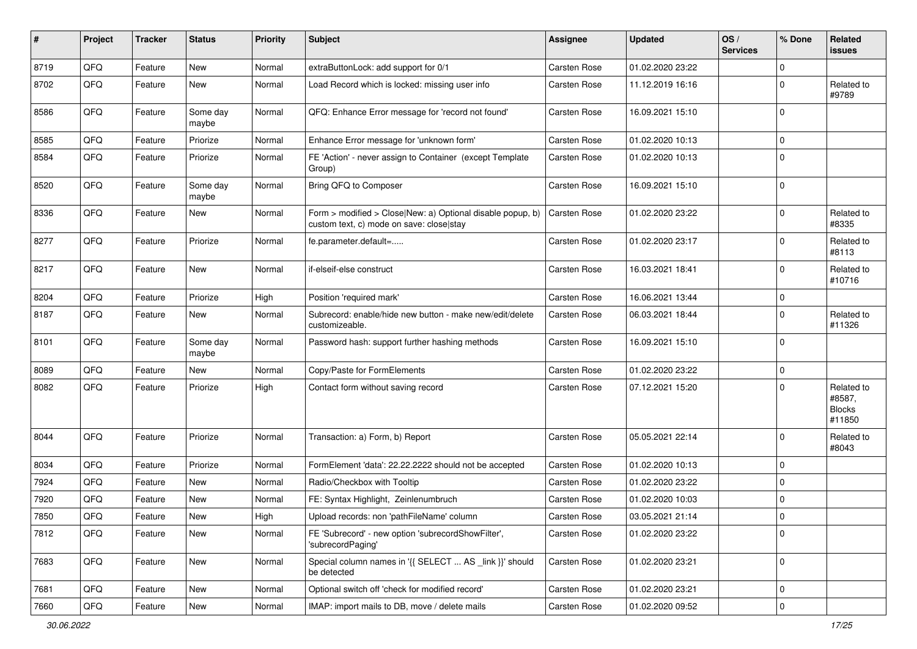| #    | Project | <b>Tracker</b> | <b>Status</b>     | <b>Priority</b> | <b>Subject</b>                                                                                         | <b>Assignee</b>     | <b>Updated</b>   | OS/<br><b>Services</b> | % Done      | Related<br>issues                               |
|------|---------|----------------|-------------------|-----------------|--------------------------------------------------------------------------------------------------------|---------------------|------------------|------------------------|-------------|-------------------------------------------------|
| 8719 | QFQ     | Feature        | New               | Normal          | extraButtonLock: add support for 0/1                                                                   | <b>Carsten Rose</b> | 01.02.2020 23:22 |                        | $\mathbf 0$ |                                                 |
| 8702 | QFQ     | Feature        | New               | Normal          | Load Record which is locked: missing user info                                                         | Carsten Rose        | 11.12.2019 16:16 |                        | $\Omega$    | Related to<br>#9789                             |
| 8586 | QFQ     | Feature        | Some day<br>maybe | Normal          | QFQ: Enhance Error message for 'record not found'                                                      | <b>Carsten Rose</b> | 16.09.2021 15:10 |                        | $\Omega$    |                                                 |
| 8585 | QFQ     | Feature        | Priorize          | Normal          | Enhance Error message for 'unknown form'                                                               | Carsten Rose        | 01.02.2020 10:13 |                        | $\Omega$    |                                                 |
| 8584 | QFQ     | Feature        | Priorize          | Normal          | FE 'Action' - never assign to Container (except Template)<br>Group)                                    | Carsten Rose        | 01.02.2020 10:13 |                        | $\Omega$    |                                                 |
| 8520 | QFQ     | Feature        | Some day<br>maybe | Normal          | Bring QFQ to Composer                                                                                  | Carsten Rose        | 16.09.2021 15:10 |                        | $\Omega$    |                                                 |
| 8336 | QFQ     | Feature        | New               | Normal          | Form > modified > Close New: a) Optional disable popup, b)<br>custom text, c) mode on save: close stay | <b>Carsten Rose</b> | 01.02.2020 23:22 |                        | $\Omega$    | Related to<br>#8335                             |
| 8277 | QFQ     | Feature        | Priorize          | Normal          | fe.parameter.default=                                                                                  | Carsten Rose        | 01.02.2020 23:17 |                        | $\Omega$    | Related to<br>#8113                             |
| 8217 | QFQ     | Feature        | <b>New</b>        | Normal          | if-elseif-else construct                                                                               | Carsten Rose        | 16.03.2021 18:41 |                        | $\Omega$    | Related to<br>#10716                            |
| 8204 | QFQ     | Feature        | Priorize          | High            | Position 'required mark'                                                                               | Carsten Rose        | 16.06.2021 13:44 |                        | $\Omega$    |                                                 |
| 8187 | QFQ     | Feature        | New               | Normal          | Subrecord: enable/hide new button - make new/edit/delete<br>customizeable.                             | Carsten Rose        | 06.03.2021 18:44 |                        | $\Omega$    | Related to<br>#11326                            |
| 8101 | QFQ     | Feature        | Some day<br>maybe | Normal          | Password hash: support further hashing methods                                                         | Carsten Rose        | 16.09.2021 15:10 |                        | $\Omega$    |                                                 |
| 8089 | QFQ     | Feature        | <b>New</b>        | Normal          | Copy/Paste for FormElements                                                                            | Carsten Rose        | 01.02.2020 23:22 |                        | $\Omega$    |                                                 |
| 8082 | QFQ     | Feature        | Priorize          | High            | Contact form without saving record                                                                     | Carsten Rose        | 07.12.2021 15:20 |                        | $\Omega$    | Related to<br>#8587,<br><b>Blocks</b><br>#11850 |
| 8044 | QFQ     | Feature        | Priorize          | Normal          | Transaction: a) Form, b) Report                                                                        | <b>Carsten Rose</b> | 05.05.2021 22:14 |                        | $\Omega$    | Related to<br>#8043                             |
| 8034 | QFQ     | Feature        | Priorize          | Normal          | FormElement 'data': 22.22.2222 should not be accepted                                                  | <b>Carsten Rose</b> | 01.02.2020 10:13 |                        | $\Omega$    |                                                 |
| 7924 | QFQ     | Feature        | New               | Normal          | Radio/Checkbox with Tooltip                                                                            | <b>Carsten Rose</b> | 01.02.2020 23:22 |                        | $\Omega$    |                                                 |
| 7920 | QFQ     | Feature        | <b>New</b>        | Normal          | FE: Syntax Highlight, Zeinlenumbruch                                                                   | Carsten Rose        | 01.02.2020 10:03 |                        | $\Omega$    |                                                 |
| 7850 | QFQ     | Feature        | New               | High            | Upload records: non 'pathFileName' column                                                              | <b>Carsten Rose</b> | 03.05.2021 21:14 |                        | 0           |                                                 |
| 7812 | QFQ     | Feature        | New               | Normal          | FE 'Subrecord' - new option 'subrecordShowFilter',<br>'subrecordPaging'                                | Carsten Rose        | 01.02.2020 23:22 |                        | $\mathbf 0$ |                                                 |
| 7683 | QFQ     | Feature        | New               | Normal          | Special column names in '{{ SELECT  AS link }}' should<br>be detected                                  | Carsten Rose        | 01.02.2020 23:21 |                        | 0           |                                                 |
| 7681 | QFQ     | Feature        | New               | Normal          | Optional switch off 'check for modified record'                                                        | Carsten Rose        | 01.02.2020 23:21 |                        | 0           |                                                 |
| 7660 | QFG     | Feature        | New               | Normal          | IMAP: import mails to DB, move / delete mails                                                          | Carsten Rose        | 01.02.2020 09:52 |                        | 0           |                                                 |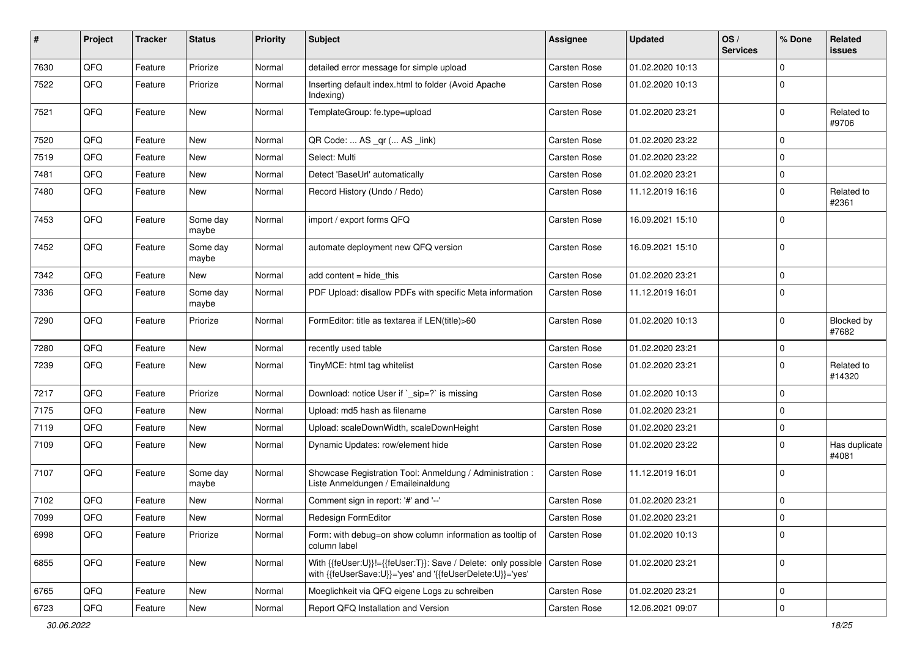| #    | Project        | <b>Tracker</b> | <b>Status</b>     | <b>Priority</b> | Subject                                                                                                                      | <b>Assignee</b>     | <b>Updated</b>   | OS/<br><b>Services</b> | % Done      | Related<br>issues      |
|------|----------------|----------------|-------------------|-----------------|------------------------------------------------------------------------------------------------------------------------------|---------------------|------------------|------------------------|-------------|------------------------|
| 7630 | QFQ            | Feature        | Priorize          | Normal          | detailed error message for simple upload                                                                                     | Carsten Rose        | 01.02.2020 10:13 |                        | 0           |                        |
| 7522 | QFQ            | Feature        | Priorize          | Normal          | Inserting default index.html to folder (Avoid Apache<br>Indexing)                                                            | Carsten Rose        | 01.02.2020 10:13 |                        | $\mathbf 0$ |                        |
| 7521 | QFQ            | Feature        | <b>New</b>        | Normal          | TemplateGroup: fe.type=upload                                                                                                | Carsten Rose        | 01.02.2020 23:21 |                        | 0           | Related to<br>#9706    |
| 7520 | QFQ            | Feature        | <b>New</b>        | Normal          | QR Code:  AS _qr ( AS _link)                                                                                                 | Carsten Rose        | 01.02.2020 23:22 |                        | $\mathbf 0$ |                        |
| 7519 | QFQ            | Feature        | New               | Normal          | Select: Multi                                                                                                                | Carsten Rose        | 01.02.2020 23:22 |                        | 0           |                        |
| 7481 | QFQ            | Feature        | New               | Normal          | Detect 'BaseUrl' automatically                                                                                               | Carsten Rose        | 01.02.2020 23:21 |                        | 0           |                        |
| 7480 | QFQ            | Feature        | <b>New</b>        | Normal          | Record History (Undo / Redo)                                                                                                 | Carsten Rose        | 11.12.2019 16:16 |                        | $\mathbf 0$ | Related to<br>#2361    |
| 7453 | QFQ            | Feature        | Some day<br>maybe | Normal          | import / export forms QFQ                                                                                                    | Carsten Rose        | 16.09.2021 15:10 |                        | $\mathbf 0$ |                        |
| 7452 | QFQ            | Feature        | Some day<br>maybe | Normal          | automate deployment new QFQ version                                                                                          | <b>Carsten Rose</b> | 16.09.2021 15:10 |                        | $\Omega$    |                        |
| 7342 | QFQ            | Feature        | New               | Normal          | add content = hide_this                                                                                                      | Carsten Rose        | 01.02.2020 23:21 |                        | 0           |                        |
| 7336 | QFQ            | Feature        | Some day<br>maybe | Normal          | PDF Upload: disallow PDFs with specific Meta information                                                                     | Carsten Rose        | 11.12.2019 16:01 |                        | $\mathbf 0$ |                        |
| 7290 | QFQ            | Feature        | Priorize          | Normal          | FormEditor: title as textarea if LEN(title)>60                                                                               | Carsten Rose        | 01.02.2020 10:13 |                        | $\mathbf 0$ | Blocked by<br>#7682    |
| 7280 | QFQ            | Feature        | <b>New</b>        | Normal          | recently used table                                                                                                          | <b>Carsten Rose</b> | 01.02.2020 23:21 |                        | 0           |                        |
| 7239 | QFQ            | Feature        | New               | Normal          | TinyMCE: html tag whitelist                                                                                                  | Carsten Rose        | 01.02.2020 23:21 |                        | $\mathbf 0$ | Related to<br>#14320   |
| 7217 | QFQ            | Feature        | Priorize          | Normal          | Download: notice User if `_sip=?` is missing                                                                                 | Carsten Rose        | 01.02.2020 10:13 |                        | 0           |                        |
| 7175 | QFQ            | Feature        | New               | Normal          | Upload: md5 hash as filename                                                                                                 | Carsten Rose        | 01.02.2020 23:21 |                        | $\mathbf 0$ |                        |
| 7119 | QFQ            | Feature        | <b>New</b>        | Normal          | Upload: scaleDownWidth, scaleDownHeight                                                                                      | Carsten Rose        | 01.02.2020 23:21 |                        | $\mathbf 0$ |                        |
| 7109 | QFQ            | Feature        | New               | Normal          | Dynamic Updates: row/element hide                                                                                            | Carsten Rose        | 01.02.2020 23:22 |                        | $\mathbf 0$ | Has duplicate<br>#4081 |
| 7107 | QFQ            | Feature        | Some day<br>maybe | Normal          | Showcase Registration Tool: Anmeldung / Administration :<br>Liste Anmeldungen / Emaileinaldung                               | Carsten Rose        | 11.12.2019 16:01 |                        | $\mathbf 0$ |                        |
| 7102 | QFQ            | Feature        | New               | Normal          | Comment sign in report: '#' and '--'                                                                                         | Carsten Rose        | 01.02.2020 23:21 |                        | $\mathbf 0$ |                        |
| 7099 | $\mathsf{QFQ}$ | Feature        | New               | Normal          | Redesign FormEditor                                                                                                          | Carsten Rose        | 01.02.2020 23:21 |                        | 0           |                        |
| 6998 | QFQ            | Feature        | Priorize          | Normal          | Form: with debug=on show column information as tooltip of<br>column label                                                    | Carsten Rose        | 01.02.2020 10:13 |                        | $\mathbf 0$ |                        |
| 6855 | QFQ            | Feature        | New               | Normal          | With {{feUser:U}}!={{feUser:T}}: Save / Delete: only possible  <br>with {{feUserSave:U}}='yes' and '{{feUserDelete:U}}='yes' | Carsten Rose        | 01.02.2020 23:21 |                        | $\mathbf 0$ |                        |
| 6765 | QFQ            | Feature        | New               | Normal          | Moeglichkeit via QFQ eigene Logs zu schreiben                                                                                | Carsten Rose        | 01.02.2020 23:21 |                        | $\pmb{0}$   |                        |
| 6723 | QFQ            | Feature        | New               | Normal          | Report QFQ Installation and Version                                                                                          | Carsten Rose        | 12.06.2021 09:07 |                        | $\pmb{0}$   |                        |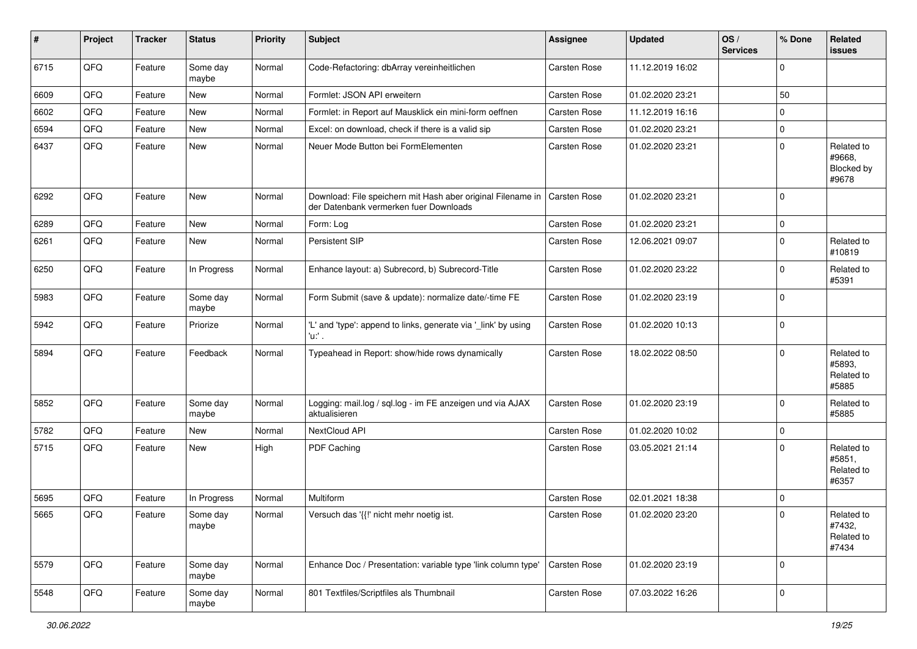| #    | Project | <b>Tracker</b> | <b>Status</b>     | <b>Priority</b> | <b>Subject</b>                                                                                        | <b>Assignee</b>     | <b>Updated</b>   | OS/<br><b>Services</b> | % Done      | Related<br>issues                           |
|------|---------|----------------|-------------------|-----------------|-------------------------------------------------------------------------------------------------------|---------------------|------------------|------------------------|-------------|---------------------------------------------|
| 6715 | QFQ     | Feature        | Some day<br>maybe | Normal          | Code-Refactoring: dbArray vereinheitlichen                                                            | <b>Carsten Rose</b> | 11.12.2019 16:02 |                        | $\mathbf 0$ |                                             |
| 6609 | QFQ     | Feature        | New               | Normal          | Formlet: JSON API erweitern                                                                           | <b>Carsten Rose</b> | 01.02.2020 23:21 |                        | 50          |                                             |
| 6602 | QFQ     | Feature        | New               | Normal          | Formlet: in Report auf Mausklick ein mini-form oeffnen                                                | <b>Carsten Rose</b> | 11.12.2019 16:16 |                        | $\mathbf 0$ |                                             |
| 6594 | QFQ     | Feature        | New               | Normal          | Excel: on download, check if there is a valid sip                                                     | <b>Carsten Rose</b> | 01.02.2020 23:21 |                        | $\pmb{0}$   |                                             |
| 6437 | QFQ     | Feature        | New               | Normal          | Neuer Mode Button bei FormElementen                                                                   | <b>Carsten Rose</b> | 01.02.2020 23:21 |                        | $\Omega$    | Related to<br>#9668,<br>Blocked by<br>#9678 |
| 6292 | QFQ     | Feature        | New               | Normal          | Download: File speichern mit Hash aber original Filename in<br>der Datenbank vermerken fuer Downloads | Carsten Rose        | 01.02.2020 23:21 |                        | $\mathbf 0$ |                                             |
| 6289 | QFQ     | Feature        | <b>New</b>        | Normal          | Form: Log                                                                                             | Carsten Rose        | 01.02.2020 23:21 |                        | 0           |                                             |
| 6261 | QFQ     | Feature        | New               | Normal          | Persistent SIP                                                                                        | Carsten Rose        | 12.06.2021 09:07 |                        | $\mathbf 0$ | Related to<br>#10819                        |
| 6250 | QFQ     | Feature        | In Progress       | Normal          | Enhance layout: a) Subrecord, b) Subrecord-Title                                                      | Carsten Rose        | 01.02.2020 23:22 |                        | $\mathbf 0$ | Related to<br>#5391                         |
| 5983 | QFQ     | Feature        | Some day<br>maybe | Normal          | Form Submit (save & update): normalize date/-time FE                                                  | Carsten Rose        | 01.02.2020 23:19 |                        | $\mathbf 0$ |                                             |
| 5942 | QFQ     | Feature        | Priorize          | Normal          | 'L' and 'type': append to links, generate via '_link' by using<br>'u' .                               | Carsten Rose        | 01.02.2020 10:13 |                        | $\mathbf 0$ |                                             |
| 5894 | QFQ     | Feature        | Feedback          | Normal          | Typeahead in Report: show/hide rows dynamically                                                       | <b>Carsten Rose</b> | 18.02.2022 08:50 |                        | $\mathbf 0$ | Related to<br>#5893,<br>Related to<br>#5885 |
| 5852 | QFQ     | Feature        | Some day<br>maybe | Normal          | Logging: mail.log / sql.log - im FE anzeigen und via AJAX<br>aktualisieren                            | Carsten Rose        | 01.02.2020 23:19 |                        | $\Omega$    | Related to<br>#5885                         |
| 5782 | QFQ     | Feature        | New               | Normal          | NextCloud API                                                                                         | <b>Carsten Rose</b> | 01.02.2020 10:02 |                        | 0           |                                             |
| 5715 | QFQ     | Feature        | New               | High            | PDF Caching                                                                                           | Carsten Rose        | 03.05.2021 21:14 |                        | $\Omega$    | Related to<br>#5851,<br>Related to<br>#6357 |
| 5695 | QFQ     | Feature        | In Progress       | Normal          | Multiform                                                                                             | <b>Carsten Rose</b> | 02.01.2021 18:38 |                        | $\mathbf 0$ |                                             |
| 5665 | QFQ     | Feature        | Some day<br>maybe | Normal          | Versuch das '{{!' nicht mehr noetig ist.                                                              | <b>Carsten Rose</b> | 01.02.2020 23:20 |                        | $\mathbf 0$ | Related to<br>#7432,<br>Related to<br>#7434 |
| 5579 | QFQ     | Feature        | Some day<br>maybe | Normal          | Enhance Doc / Presentation: variable type 'link column type'                                          | Carsten Rose        | 01.02.2020 23:19 |                        | $\mathbf 0$ |                                             |
| 5548 | QFG     | Feature        | Some day<br>maybe | Normal          | 801 Textfiles/Scriptfiles als Thumbnail                                                               | Carsten Rose        | 07.03.2022 16:26 |                        | $\mathbf 0$ |                                             |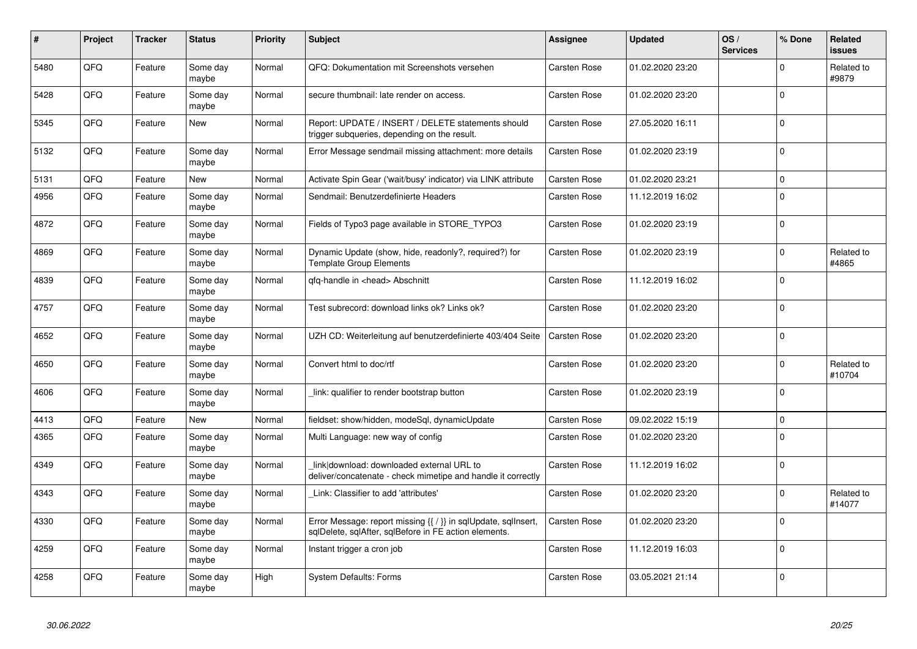| #    | Project | <b>Tracker</b> | <b>Status</b>     | <b>Priority</b> | <b>Subject</b>                                                                                                          | <b>Assignee</b>     | <b>Updated</b>   | OS/<br><b>Services</b> | % Done      | Related<br><b>issues</b> |
|------|---------|----------------|-------------------|-----------------|-------------------------------------------------------------------------------------------------------------------------|---------------------|------------------|------------------------|-------------|--------------------------|
| 5480 | QFQ     | Feature        | Some day<br>maybe | Normal          | QFQ: Dokumentation mit Screenshots versehen                                                                             | <b>Carsten Rose</b> | 01.02.2020 23:20 |                        | $\mathbf 0$ | Related to<br>#9879      |
| 5428 | QFQ     | Feature        | Some day<br>maybe | Normal          | secure thumbnail: late render on access.                                                                                | Carsten Rose        | 01.02.2020 23:20 |                        | $\mathbf 0$ |                          |
| 5345 | QFQ     | Feature        | New               | Normal          | Report: UPDATE / INSERT / DELETE statements should<br>trigger subqueries, depending on the result.                      | Carsten Rose        | 27.05.2020 16:11 |                        | $\mathbf 0$ |                          |
| 5132 | QFQ     | Feature        | Some day<br>maybe | Normal          | Error Message sendmail missing attachment: more details                                                                 | Carsten Rose        | 01.02.2020 23:19 |                        | $\pmb{0}$   |                          |
| 5131 | QFQ     | Feature        | New               | Normal          | Activate Spin Gear ('wait/busy' indicator) via LINK attribute                                                           | <b>Carsten Rose</b> | 01.02.2020 23:21 |                        | $\pmb{0}$   |                          |
| 4956 | QFQ     | Feature        | Some day<br>maybe | Normal          | Sendmail: Benutzerdefinierte Headers                                                                                    | Carsten Rose        | 11.12.2019 16:02 |                        | $\mathbf 0$ |                          |
| 4872 | QFQ     | Feature        | Some day<br>maybe | Normal          | Fields of Typo3 page available in STORE_TYPO3                                                                           | Carsten Rose        | 01.02.2020 23:19 |                        | $\Omega$    |                          |
| 4869 | QFQ     | Feature        | Some day<br>maybe | Normal          | Dynamic Update (show, hide, readonly?, required?) for<br><b>Template Group Elements</b>                                 | <b>Carsten Rose</b> | 01.02.2020 23:19 |                        | $\mathbf 0$ | Related to<br>#4865      |
| 4839 | QFQ     | Feature        | Some day<br>maybe | Normal          | qfq-handle in <head> Abschnitt</head>                                                                                   | Carsten Rose        | 11.12.2019 16:02 |                        | $\mathbf 0$ |                          |
| 4757 | QFQ     | Feature        | Some day<br>maybe | Normal          | Test subrecord: download links ok? Links ok?                                                                            | Carsten Rose        | 01.02.2020 23:20 |                        | $\mathbf 0$ |                          |
| 4652 | QFQ     | Feature        | Some day<br>maybe | Normal          | UZH CD: Weiterleitung auf benutzerdefinierte 403/404 Seite                                                              | Carsten Rose        | 01.02.2020 23:20 |                        | $\mathbf 0$ |                          |
| 4650 | QFQ     | Feature        | Some day<br>maybe | Normal          | Convert html to doc/rtf                                                                                                 | Carsten Rose        | 01.02.2020 23:20 |                        | $\Omega$    | Related to<br>#10704     |
| 4606 | QFQ     | Feature        | Some day<br>maybe | Normal          | link: qualifier to render bootstrap button                                                                              | <b>Carsten Rose</b> | 01.02.2020 23:19 |                        | $\mathbf 0$ |                          |
| 4413 | QFQ     | Feature        | <b>New</b>        | Normal          | fieldset: show/hidden, modeSql, dynamicUpdate                                                                           | <b>Carsten Rose</b> | 09.02.2022 15:19 |                        | $\mathbf 0$ |                          |
| 4365 | QFQ     | Feature        | Some day<br>maybe | Normal          | Multi Language: new way of config                                                                                       | Carsten Rose        | 01.02.2020 23:20 |                        | $\Omega$    |                          |
| 4349 | QFQ     | Feature        | Some day<br>maybe | Normal          | link download: downloaded external URL to<br>deliver/concatenate - check mimetipe and handle it correctly               | Carsten Rose        | 11.12.2019 16:02 |                        | $\pmb{0}$   |                          |
| 4343 | QFQ     | Feature        | Some day<br>maybe | Normal          | Link: Classifier to add 'attributes'                                                                                    | Carsten Rose        | 01.02.2020 23:20 |                        | $\mathbf 0$ | Related to<br>#14077     |
| 4330 | QFQ     | Feature        | Some day<br>maybe | Normal          | Error Message: report missing {{ / }} in sqlUpdate, sqlInsert,<br>sqlDelete, sqlAfter, sqlBefore in FE action elements. | Carsten Rose        | 01.02.2020 23:20 |                        | $\mathbf 0$ |                          |
| 4259 | QFQ     | Feature        | Some day<br>maybe | Normal          | Instant trigger a cron job                                                                                              | Carsten Rose        | 11.12.2019 16:03 |                        | $\mathbf 0$ |                          |
| 4258 | QFQ     | Feature        | Some day<br>maybe | High            | <b>System Defaults: Forms</b>                                                                                           | Carsten Rose        | 03.05.2021 21:14 |                        | $\mathbf 0$ |                          |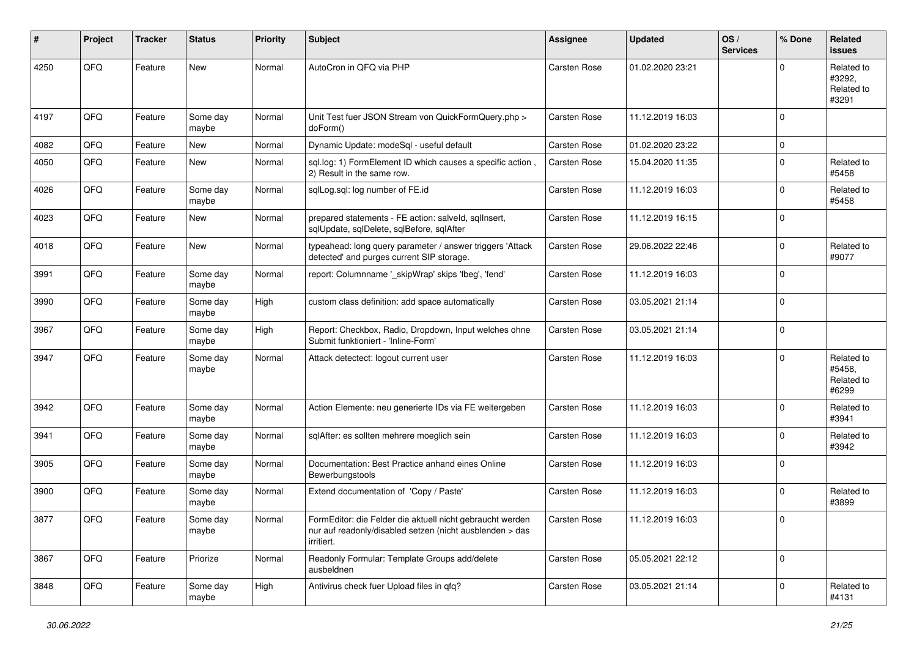| ∦    | Project | <b>Tracker</b> | <b>Status</b>     | <b>Priority</b> | <b>Subject</b>                                                                                                                      | Assignee            | <b>Updated</b>   | OS/<br><b>Services</b> | % Done      | Related<br>issues                           |
|------|---------|----------------|-------------------|-----------------|-------------------------------------------------------------------------------------------------------------------------------------|---------------------|------------------|------------------------|-------------|---------------------------------------------|
| 4250 | QFQ     | Feature        | New               | Normal          | AutoCron in QFQ via PHP                                                                                                             | Carsten Rose        | 01.02.2020 23:21 |                        | $\Omega$    | Related to<br>#3292,<br>Related to<br>#3291 |
| 4197 | QFQ     | Feature        | Some day<br>maybe | Normal          | Unit Test fuer JSON Stream von QuickFormQuery.php ><br>doForm()                                                                     | Carsten Rose        | 11.12.2019 16:03 |                        | $\Omega$    |                                             |
| 4082 | QFQ     | Feature        | <b>New</b>        | Normal          | Dynamic Update: modeSql - useful default                                                                                            | <b>Carsten Rose</b> | 01.02.2020 23:22 |                        | 0           |                                             |
| 4050 | QFQ     | Feature        | New               | Normal          | sql.log: 1) FormElement ID which causes a specific action<br>2) Result in the same row.                                             | Carsten Rose        | 15.04.2020 11:35 |                        | $\mathbf 0$ | Related to<br>#5458                         |
| 4026 | QFQ     | Feature        | Some day<br>maybe | Normal          | sqlLog.sql: log number of FE.id                                                                                                     | Carsten Rose        | 11.12.2019 16:03 |                        | $\mathbf 0$ | Related to<br>#5458                         |
| 4023 | QFQ     | Feature        | <b>New</b>        | Normal          | prepared statements - FE action: salveld, sqlInsert,<br>sqlUpdate, sqlDelete, sqlBefore, sqlAfter                                   | Carsten Rose        | 11.12.2019 16:15 |                        | $\Omega$    |                                             |
| 4018 | QFQ     | Feature        | New               | Normal          | typeahead: long query parameter / answer triggers 'Attack<br>detected' and purges current SIP storage.                              | Carsten Rose        | 29.06.2022 22:46 |                        | 0           | Related to<br>#9077                         |
| 3991 | QFQ     | Feature        | Some day<br>maybe | Normal          | report: Columnname '_skipWrap' skips 'fbeg', 'fend'                                                                                 | Carsten Rose        | 11.12.2019 16:03 |                        | $\Omega$    |                                             |
| 3990 | QFQ     | Feature        | Some day<br>maybe | High            | custom class definition: add space automatically                                                                                    | <b>Carsten Rose</b> | 03.05.2021 21:14 |                        | $\Omega$    |                                             |
| 3967 | QFQ     | Feature        | Some day<br>maybe | High            | Report: Checkbox, Radio, Dropdown, Input welches ohne<br>Submit funktioniert - 'Inline-Form'                                        | <b>Carsten Rose</b> | 03.05.2021 21:14 |                        | $\mathbf 0$ |                                             |
| 3947 | QFQ     | Feature        | Some day<br>maybe | Normal          | Attack detectect: logout current user                                                                                               | Carsten Rose        | 11.12.2019 16:03 |                        | 0           | Related to<br>#5458,<br>Related to<br>#6299 |
| 3942 | QFQ     | Feature        | Some day<br>maybe | Normal          | Action Elemente: neu generierte IDs via FE weitergeben                                                                              | Carsten Rose        | 11.12.2019 16:03 |                        | $\Omega$    | Related to<br>#3941                         |
| 3941 | QFQ     | Feature        | Some day<br>maybe | Normal          | sqlAfter: es sollten mehrere moeglich sein                                                                                          | Carsten Rose        | 11.12.2019 16:03 |                        | 0           | Related to<br>#3942                         |
| 3905 | QFQ     | Feature        | Some day<br>maybe | Normal          | Documentation: Best Practice anhand eines Online<br>Bewerbungstools                                                                 | Carsten Rose        | 11.12.2019 16:03 |                        | $\Omega$    |                                             |
| 3900 | QFQ     | Feature        | Some day<br>maybe | Normal          | Extend documentation of 'Copy / Paste'                                                                                              | Carsten Rose        | 11.12.2019 16:03 |                        | 0           | Related to<br>#3899                         |
| 3877 | QFQ     | Feature        | Some day<br>maybe | Normal          | FormEditor: die Felder die aktuell nicht gebraucht werden<br>nur auf readonly/disabled setzen (nicht ausblenden > das<br>irritiert. | Carsten Rose        | 11.12.2019 16:03 |                        | 0           |                                             |
| 3867 | QFQ     | Feature        | Priorize          | Normal          | Readonly Formular: Template Groups add/delete<br>ausbeldnen                                                                         | Carsten Rose        | 05.05.2021 22:12 |                        | $\mathbf 0$ |                                             |
| 3848 | QFQ     | Feature        | Some day<br>maybe | High            | Antivirus check fuer Upload files in qfq?                                                                                           | Carsten Rose        | 03.05.2021 21:14 |                        | 0           | Related to<br>#4131                         |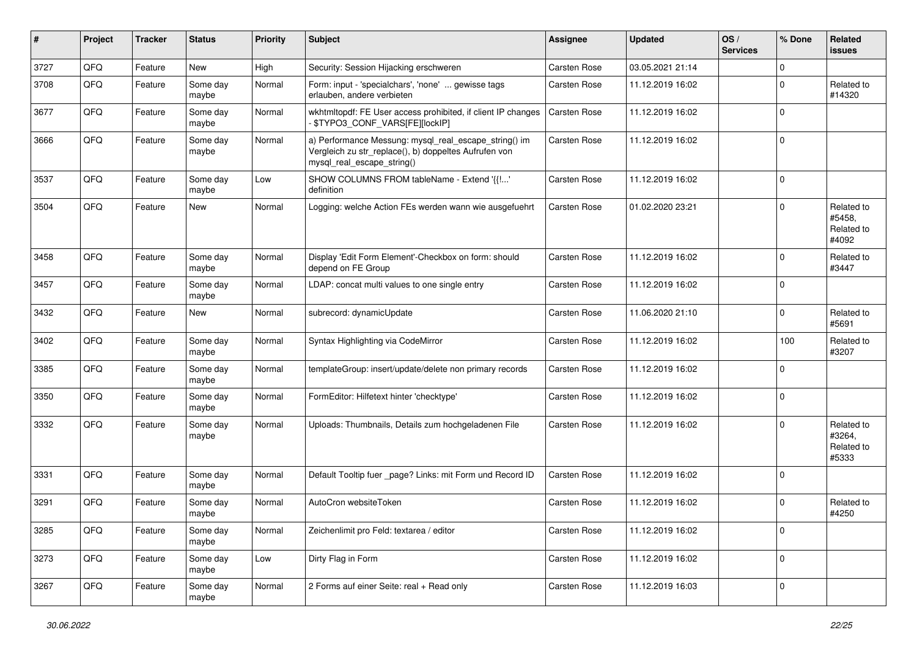| #    | Project | <b>Tracker</b> | <b>Status</b>     | <b>Priority</b> | Subject                                                                                                                                      | Assignee     | <b>Updated</b>   | OS/<br><b>Services</b> | % Done      | Related<br>issues                           |
|------|---------|----------------|-------------------|-----------------|----------------------------------------------------------------------------------------------------------------------------------------------|--------------|------------------|------------------------|-------------|---------------------------------------------|
| 3727 | QFQ     | Feature        | New               | High            | Security: Session Hijacking erschweren                                                                                                       | Carsten Rose | 03.05.2021 21:14 |                        | 0           |                                             |
| 3708 | QFQ     | Feature        | Some day<br>maybe | Normal          | Form: input - 'specialchars', 'none'  gewisse tags<br>erlauben, andere verbieten                                                             | Carsten Rose | 11.12.2019 16:02 |                        | $\mathbf 0$ | Related to<br>#14320                        |
| 3677 | QFQ     | Feature        | Some day<br>maybe | Normal          | wkhtmltopdf: FE User access prohibited, if client IP changes<br>\$TYPO3_CONF_VARS[FE][lockIP]                                                | Carsten Rose | 11.12.2019 16:02 |                        | 0           |                                             |
| 3666 | QFQ     | Feature        | Some day<br>maybe | Normal          | a) Performance Messung: mysql_real_escape_string() im<br>Vergleich zu str_replace(), b) doppeltes Aufrufen von<br>mysql real escape string() | Carsten Rose | 11.12.2019 16:02 |                        | $\pmb{0}$   |                                             |
| 3537 | QFQ     | Feature        | Some day<br>maybe | Low             | SHOW COLUMNS FROM tableName - Extend '{{!'<br>definition                                                                                     | Carsten Rose | 11.12.2019 16:02 |                        | $\mathbf 0$ |                                             |
| 3504 | QFQ     | Feature        | New               | Normal          | Logging: welche Action FEs werden wann wie ausgefuehrt                                                                                       | Carsten Rose | 01.02.2020 23:21 |                        | 0           | Related to<br>#5458,<br>Related to<br>#4092 |
| 3458 | QFQ     | Feature        | Some day<br>maybe | Normal          | Display 'Edit Form Element'-Checkbox on form: should<br>depend on FE Group                                                                   | Carsten Rose | 11.12.2019 16:02 |                        | $\mathbf 0$ | Related to<br>#3447                         |
| 3457 | QFQ     | Feature        | Some day<br>maybe | Normal          | LDAP: concat multi values to one single entry                                                                                                | Carsten Rose | 11.12.2019 16:02 |                        | $\mathbf 0$ |                                             |
| 3432 | QFQ     | Feature        | New               | Normal          | subrecord: dynamicUpdate                                                                                                                     | Carsten Rose | 11.06.2020 21:10 |                        | $\mathbf 0$ | Related to<br>#5691                         |
| 3402 | QFQ     | Feature        | Some day<br>maybe | Normal          | Syntax Highlighting via CodeMirror                                                                                                           | Carsten Rose | 11.12.2019 16:02 |                        | 100         | Related to<br>#3207                         |
| 3385 | QFQ     | Feature        | Some day<br>maybe | Normal          | templateGroup: insert/update/delete non primary records                                                                                      | Carsten Rose | 11.12.2019 16:02 |                        | $\mathbf 0$ |                                             |
| 3350 | QFQ     | Feature        | Some day<br>maybe | Normal          | FormEditor: Hilfetext hinter 'checktype'                                                                                                     | Carsten Rose | 11.12.2019 16:02 |                        | 0           |                                             |
| 3332 | QFQ     | Feature        | Some day<br>maybe | Normal          | Uploads: Thumbnails, Details zum hochgeladenen File                                                                                          | Carsten Rose | 11.12.2019 16:02 |                        | $\mathbf 0$ | Related to<br>#3264,<br>Related to<br>#5333 |
| 3331 | QFQ     | Feature        | Some day<br>maybe | Normal          | Default Tooltip fuer _page? Links: mit Form und Record ID                                                                                    | Carsten Rose | 11.12.2019 16:02 |                        | $\mathbf 0$ |                                             |
| 3291 | QFQ     | Feature        | Some day<br>maybe | Normal          | AutoCron websiteToken                                                                                                                        | Carsten Rose | 11.12.2019 16:02 |                        | $\Omega$    | Related to<br>#4250                         |
| 3285 | QFQ     | Feature        | Some day<br>maybe | Normal          | Zeichenlimit pro Feld: textarea / editor                                                                                                     | Carsten Rose | 11.12.2019 16:02 |                        | $\pmb{0}$   |                                             |
| 3273 | QFQ     | Feature        | Some day<br>maybe | Low             | Dirty Flag in Form                                                                                                                           | Carsten Rose | 11.12.2019 16:02 |                        | $\pmb{0}$   |                                             |
| 3267 | QFQ     | Feature        | Some day<br>maybe | Normal          | 2 Forms auf einer Seite: real + Read only                                                                                                    | Carsten Rose | 11.12.2019 16:03 |                        | $\pmb{0}$   |                                             |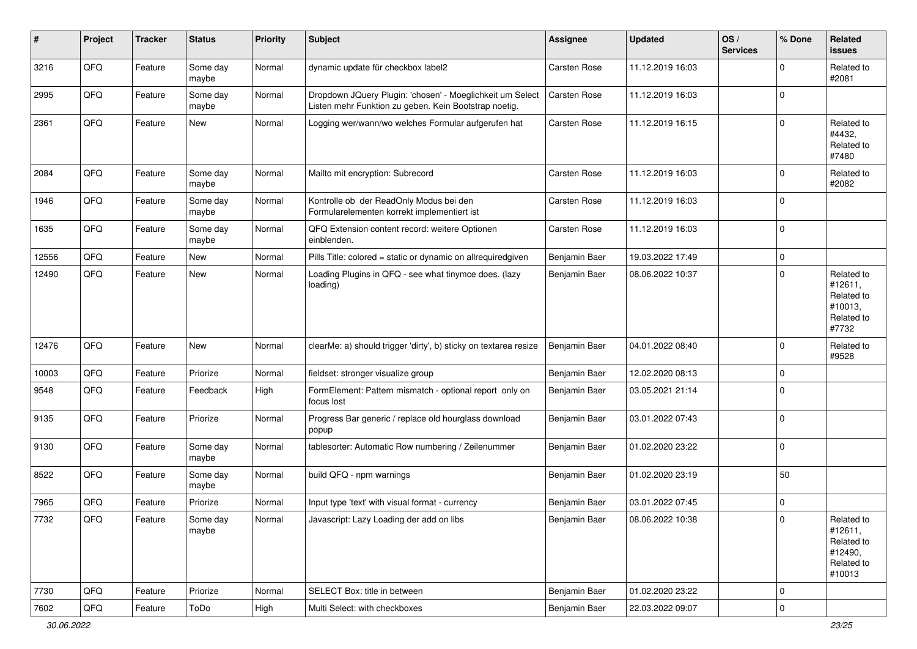| #     | Project | <b>Tracker</b> | <b>Status</b>     | <b>Priority</b> | <b>Subject</b>                                                                                                     | Assignee      | <b>Updated</b>   | OS/<br><b>Services</b> | % Done         | Related<br>issues                                                      |
|-------|---------|----------------|-------------------|-----------------|--------------------------------------------------------------------------------------------------------------------|---------------|------------------|------------------------|----------------|------------------------------------------------------------------------|
| 3216  | QFQ     | Feature        | Some day<br>maybe | Normal          | dynamic update für checkbox label2                                                                                 | Carsten Rose  | 11.12.2019 16:03 |                        | 0              | Related to<br>#2081                                                    |
| 2995  | QFQ     | Feature        | Some day<br>maybe | Normal          | Dropdown JQuery Plugin: 'chosen' - Moeglichkeit um Select<br>Listen mehr Funktion zu geben. Kein Bootstrap noetig. | Carsten Rose  | 11.12.2019 16:03 |                        | $\mathbf 0$    |                                                                        |
| 2361  | QFQ     | Feature        | New               | Normal          | Logging wer/wann/wo welches Formular aufgerufen hat                                                                | Carsten Rose  | 11.12.2019 16:15 |                        | $\mathbf 0$    | Related to<br>#4432,<br>Related to<br>#7480                            |
| 2084  | QFQ     | Feature        | Some day<br>maybe | Normal          | Mailto mit encryption: Subrecord                                                                                   | Carsten Rose  | 11.12.2019 16:03 |                        | $\mathbf 0$    | Related to<br>#2082                                                    |
| 1946  | QFQ     | Feature        | Some day<br>maybe | Normal          | Kontrolle ob der ReadOnly Modus bei den<br>Formularelementen korrekt implementiert ist                             | Carsten Rose  | 11.12.2019 16:03 |                        | $\Omega$       |                                                                        |
| 1635  | QFQ     | Feature        | Some day<br>maybe | Normal          | QFQ Extension content record: weitere Optionen<br>einblenden.                                                      | Carsten Rose  | 11.12.2019 16:03 |                        | $\mathbf 0$    |                                                                        |
| 12556 | QFQ     | Feature        | <b>New</b>        | Normal          | Pills Title: colored = static or dynamic on allrequiredgiven                                                       | Benjamin Baer | 19.03.2022 17:49 |                        | $\mathbf 0$    |                                                                        |
| 12490 | QFQ     | Feature        | New               | Normal          | Loading Plugins in QFQ - see what tinymce does. (lazy<br>loading)                                                  | Benjamin Baer | 08.06.2022 10:37 |                        | $\mathbf 0$    | Related to<br>#12611,<br>Related to<br>#10013,<br>Related to<br>#7732  |
| 12476 | QFQ     | Feature        | New               | Normal          | clearMe: a) should trigger 'dirty', b) sticky on textarea resize                                                   | Benjamin Baer | 04.01.2022 08:40 |                        | $\mathbf 0$    | Related to<br>#9528                                                    |
| 10003 | QFQ     | Feature        | Priorize          | Normal          | fieldset: stronger visualize group                                                                                 | Benjamin Baer | 12.02.2020 08:13 |                        | 0              |                                                                        |
| 9548  | QFQ     | Feature        | Feedback          | <b>High</b>     | FormElement: Pattern mismatch - optional report only on<br>focus lost                                              | Benjamin Baer | 03.05.2021 21:14 |                        | $\Omega$       |                                                                        |
| 9135  | QFQ     | Feature        | Priorize          | Normal          | Progress Bar generic / replace old hourglass download<br>popup                                                     | Benjamin Baer | 03.01.2022 07:43 |                        | $\mathbf 0$    |                                                                        |
| 9130  | QFQ     | Feature        | Some day<br>maybe | Normal          | tablesorter: Automatic Row numbering / Zeilenummer                                                                 | Benjamin Baer | 01.02.2020 23:22 |                        | $\mathbf 0$    |                                                                        |
| 8522  | QFQ     | Feature        | Some day<br>maybe | Normal          | build QFQ - npm warnings                                                                                           | Benjamin Baer | 01.02.2020 23:19 |                        | 50             |                                                                        |
| 7965  | QFQ     | Feature        | Priorize          | Normal          | Input type 'text' with visual format - currency                                                                    | Benjamin Baer | 03.01.2022 07:45 |                        | $\mathbf 0$    |                                                                        |
| 7732  | QFQ     | Feature        | Some day<br>maybe | Normal          | Javascript: Lazy Loading der add on libs                                                                           | Benjamin Baer | 08.06.2022 10:38 |                        | $\overline{0}$ | Related to<br>#12611,<br>Related to<br>#12490,<br>Related to<br>#10013 |
| 7730  | QFQ     | Feature        | Priorize          | Normal          | SELECT Box: title in between                                                                                       | Benjamin Baer | 01.02.2020 23:22 |                        | $\pmb{0}$      |                                                                        |
| 7602  | QFQ     | Feature        | ToDo              | High            | Multi Select: with checkboxes                                                                                      | Benjamin Baer | 22.03.2022 09:07 |                        | $\pmb{0}$      |                                                                        |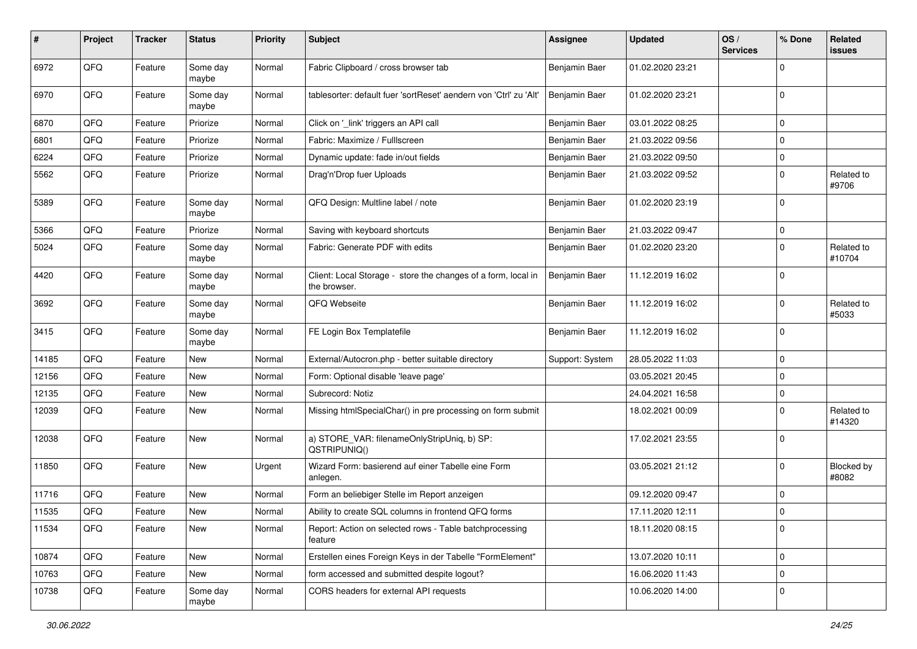| #     | Project | <b>Tracker</b> | <b>Status</b>     | <b>Priority</b> | <b>Subject</b>                                                                | <b>Assignee</b> | <b>Updated</b>   | OS/<br><b>Services</b> | % Done      | Related<br>issues          |
|-------|---------|----------------|-------------------|-----------------|-------------------------------------------------------------------------------|-----------------|------------------|------------------------|-------------|----------------------------|
| 6972  | QFQ     | Feature        | Some day<br>maybe | Normal          | Fabric Clipboard / cross browser tab                                          | Benjamin Baer   | 01.02.2020 23:21 |                        | $\Omega$    |                            |
| 6970  | QFQ     | Feature        | Some day<br>maybe | Normal          | tablesorter: default fuer 'sortReset' aendern von 'Ctrl' zu 'Alt'             | Benjamin Baer   | 01.02.2020 23:21 |                        | $\Omega$    |                            |
| 6870  | QFQ     | Feature        | Priorize          | Normal          | Click on '_link' triggers an API call                                         | Benjamin Baer   | 03.01.2022 08:25 |                        | $\Omega$    |                            |
| 6801  | QFQ     | Feature        | Priorize          | Normal          | Fabric: Maximize / FullIscreen                                                | Benjamin Baer   | 21.03.2022 09:56 |                        | $\Omega$    |                            |
| 6224  | QFQ     | Feature        | Priorize          | Normal          | Dynamic update: fade in/out fields                                            | Benjamin Baer   | 21.03.2022 09:50 |                        | $\mathbf 0$ |                            |
| 5562  | QFQ     | Feature        | Priorize          | Normal          | Drag'n'Drop fuer Uploads                                                      | Benjamin Baer   | 21.03.2022 09:52 |                        | $\Omega$    | Related to<br>#9706        |
| 5389  | QFQ     | Feature        | Some day<br>maybe | Normal          | QFQ Design: Multline label / note                                             | Benjamin Baer   | 01.02.2020 23:19 |                        | $\Omega$    |                            |
| 5366  | QFQ     | Feature        | Priorize          | Normal          | Saving with keyboard shortcuts                                                | Benjamin Baer   | 21.03.2022 09:47 |                        | $\Omega$    |                            |
| 5024  | QFQ     | Feature        | Some day<br>maybe | Normal          | Fabric: Generate PDF with edits                                               | Benjamin Baer   | 01.02.2020 23:20 |                        | $\Omega$    | Related to<br>#10704       |
| 4420  | QFQ     | Feature        | Some day<br>maybe | Normal          | Client: Local Storage - store the changes of a form, local in<br>the browser. | Benjamin Baer   | 11.12.2019 16:02 |                        | $\Omega$    |                            |
| 3692  | QFQ     | Feature        | Some day<br>maybe | Normal          | QFQ Webseite                                                                  | Benjamin Baer   | 11.12.2019 16:02 |                        | $\mathbf 0$ | Related to<br>#5033        |
| 3415  | QFQ     | Feature        | Some day<br>maybe | Normal          | FE Login Box Templatefile                                                     | Benjamin Baer   | 11.12.2019 16:02 |                        | $\Omega$    |                            |
| 14185 | QFQ     | Feature        | New               | Normal          | External/Autocron.php - better suitable directory                             | Support: System | 28.05.2022 11:03 |                        | $\Omega$    |                            |
| 12156 | QFQ     | Feature        | New               | Normal          | Form: Optional disable 'leave page'                                           |                 | 03.05.2021 20:45 |                        | $\Omega$    |                            |
| 12135 | QFQ     | Feature        | <b>New</b>        | Normal          | Subrecord: Notiz                                                              |                 | 24.04.2021 16:58 |                        | $\mathbf 0$ |                            |
| 12039 | QFQ     | Feature        | New               | Normal          | Missing htmlSpecialChar() in pre processing on form submit                    |                 | 18.02.2021 00:09 |                        | $\Omega$    | Related to<br>#14320       |
| 12038 | QFQ     | Feature        | <b>New</b>        | Normal          | a) STORE_VAR: filenameOnlyStripUniq, b) SP:<br>QSTRIPUNIQ()                   |                 | 17.02.2021 23:55 |                        | $\Omega$    |                            |
| 11850 | QFQ     | Feature        | <b>New</b>        | Urgent          | Wizard Form: basierend auf einer Tabelle eine Form<br>anlegen.                |                 | 03.05.2021 21:12 |                        | $\Omega$    | <b>Blocked by</b><br>#8082 |
| 11716 | QFQ     | Feature        | New               | Normal          | Form an beliebiger Stelle im Report anzeigen                                  |                 | 09.12.2020 09:47 |                        | $\Omega$    |                            |
| 11535 | QFQ     | Feature        | New               | Normal          | Ability to create SQL columns in frontend QFQ forms                           |                 | 17.11.2020 12:11 |                        | $\Omega$    |                            |
| 11534 | QFQ     | Feature        | New               | Normal          | Report: Action on selected rows - Table batchprocessing<br>feature            |                 | 18.11.2020 08:15 |                        | 0           |                            |
| 10874 | QFQ     | Feature        | New               | Normal          | Erstellen eines Foreign Keys in der Tabelle "FormElement"                     |                 | 13.07.2020 10:11 |                        | 0           |                            |
| 10763 | QFQ     | Feature        | New               | Normal          | form accessed and submitted despite logout?                                   |                 | 16.06.2020 11:43 |                        | 0           |                            |
| 10738 | QFQ     | Feature        | Some day<br>maybe | Normal          | CORS headers for external API requests                                        |                 | 10.06.2020 14:00 |                        | $\mathbf 0$ |                            |